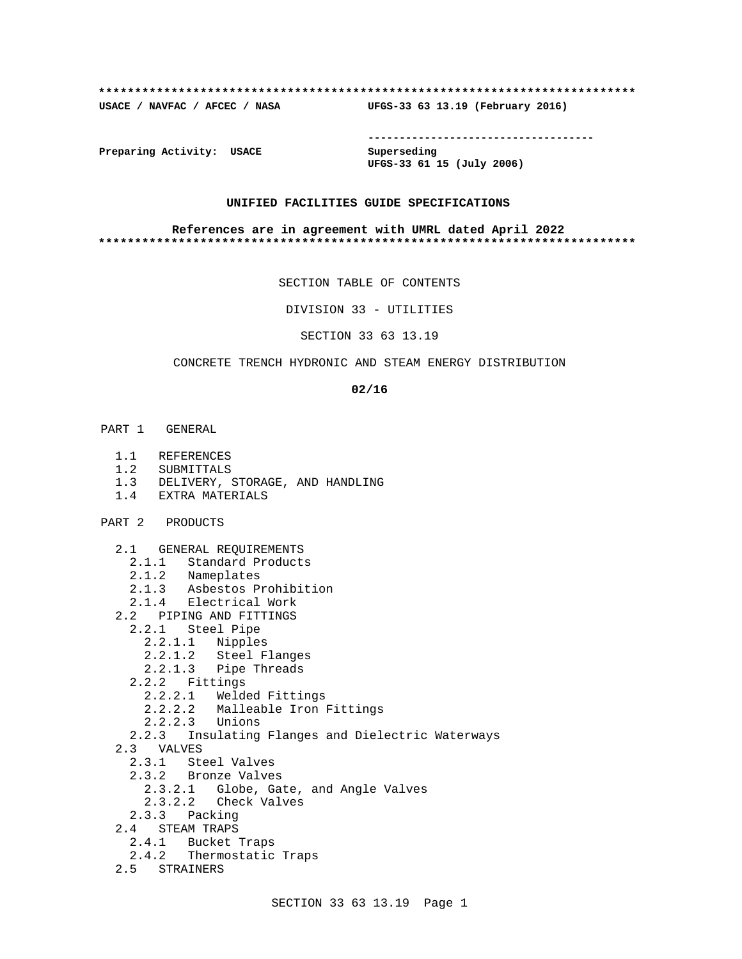#### **\*\*\*\*\*\*\*\*\*\*\*\*\*\*\*\*\*\*\*\*\*\*\*\*\*\*\*\*\*\*\*\*\*\*\*\*\*\*\*\*\*\*\*\*\*\*\*\*\*\*\*\*\*\*\*\*\*\*\*\*\*\*\*\*\*\*\*\*\*\*\*\*\*\***

**USACE / NAVFAC / AFCEC / NASA UFGS-33 63 13.19 (February 2016)**

**------------------------------------**

**Preparing Activity: USACE Superseding**

**UFGS-33 61 15 (July 2006)**

### **UNIFIED FACILITIES GUIDE SPECIFICATIONS**

#### **References are in agreement with UMRL dated April 2022 \*\*\*\*\*\*\*\*\*\*\*\*\*\*\*\*\*\*\*\*\*\*\*\*\*\*\*\*\*\*\*\*\*\*\*\*\*\*\*\*\*\*\*\*\*\*\*\*\*\*\*\*\*\*\*\*\*\*\*\*\*\*\*\*\*\*\*\*\*\*\*\*\*\***

SECTION TABLE OF CONTENTS

DIVISION 33 - UTILITIES

SECTION 33 63 13.19

# CONCRETE TRENCH HYDRONIC AND STEAM ENERGY DISTRIBUTION

#### **02/16**

- PART 1 GENERAL
	- 1.1 REFERENCES
	- 1.2 SUBMITTALS
	- 1.3 DELIVERY, STORAGE, AND HANDLING
	- 1.4 EXTRA MATERIALS
- PART 2 PRODUCTS
	- 2.1 GENERAL REQUIREMENTS
		- 2.1.1 Standard Products
		- 2.1.2 Nameplates
		- 2.1.3 Asbestos Prohibition
	- 2.1.4 Electrical Work
	- 2.2 PIPING AND FITTINGS
		- 2.2.1 Steel Pipe
			- 2.2.1.1 Nipples
			- 2.2.1.2 Steel Flanges
			- 2.2.1.3 Pipe Threads
		- 2.2.2 Fittings
		-
		- 2.2.2.1 Welded Fittings
		- 2.2.2.2 Malleable Iron Fittings
		- 2.2.2.3 Unions
	- 2.2.3 Insulating Flanges and Dielectric Waterways
	- 2.3 VALVES
		- 2.3.1 Steel Valves
		- 2.3.2 Bronze Valves
			- 2.3.2.1 Globe, Gate, and Angle Valves
			- 2.3.2.2 Check Valves
	- 2.3.3 Packing
	- 2.4 STEAM TRAPS
		- 2.4.1 Bucket Traps
	- 2.4.2 Thermostatic Traps
	- 2.5 STRAINERS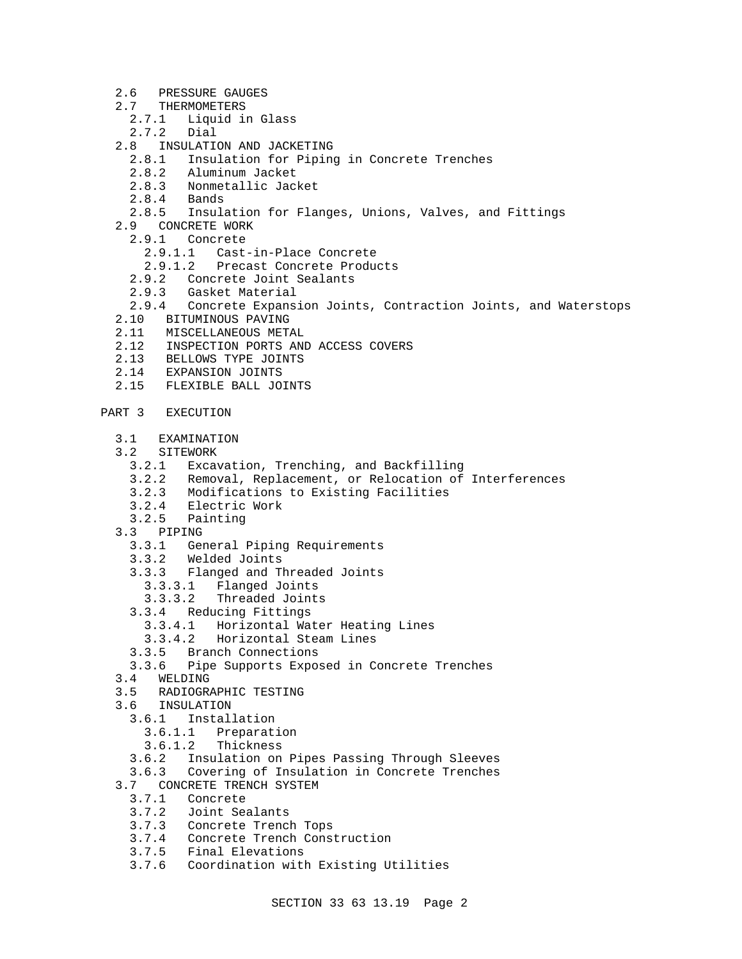- 2.6 PRESSURE GAUGES
- 2.7 THERMOMETERS<br>2.7.1 Liquid is
	- Liquid in Glass
	- 2.7.2 Dial
- 2.8 INSULATION AND JACKETING
	- 2.8.1 Insulation for Piping in Concrete Trenches
	- 2.8.2 Aluminum Jacket
	- 2.8.3 Nonmetallic Jacket<br>2.8.4 Bands
	- 2.8.4 Bands
	- 2.8.5 Insulation for Flanges, Unions, Valves, and Fittings
- 2.9 CONCRETE WORK
- 2.9.1 Concrete
	- 2.9.1.1 Cast-in-Place Concrete
	- 2.9.1.2 Precast Concrete Products
	- 2.9.2 Concrete Joint Sealants
- 2.9.3 Gasket Material
- 2.9.4 Concrete Expansion Joints, Contraction Joints, and Waterstops
- 2.10 BITUMINOUS PAVING
- 2.11 MISCELLANEOUS METAL
- 2.12 INSPECTION PORTS AND ACCESS COVERS
- 2.13 BELLOWS TYPE JOINTS
- 2.14 EXPANSION JOINTS
- 2.15 FLEXIBLE BALL JOINTS
- PART 3 EXECUTION
	- 3.1 EXAMINATION
	- 3.2 SITEWORK
		- 3.2.1 Excavation, Trenching, and Backfilling
		- 3.2.2 Removal, Replacement, or Relocation of Interferences
		- 3.2.3 Modifications to Existing Facilities
		- 3.2.4 Electric Work
	- 3.2.5 Painting
	- 3.3 PIPING
		- 3.3.1 General Piping Requirements
		- 3.3.2 Welded Joints
		- 3.3.3 Flanged and Threaded Joints
			- 3.3.3.1 Flanged Joints
			- 3.3.3.2 Threaded Joints
		- 3.3.4 Reducing Fittings
			- 3.3.4.1 Horizontal Water Heating Lines
			- 3.3.4.2 Horizontal Steam Lines
		- 3.3.5 Branch Connections
	- 3.3.6 Pipe Supports Exposed in Concrete Trenches
	- 3.4 WELDING
	- 3.5 RADIOGRAPHIC TESTING
	- 3.6 INSULATION
	- 3.6.1 Installation
		- 3.6.1.1 Preparation
		- 3.6.1.2 Thickness
		- 3.6.2 Insulation on Pipes Passing Through Sleeves
	- 3.6.3 Covering of Insulation in Concrete Trenches
	- 3.7 CONCRETE TRENCH SYSTEM<br>3.7.1 Concrete
		- **Concrete**
		- 3.7.2 Joint Sealants
		- 3.7.3 Concrete Trench Tops
		- 3.7.4 Concrete Trench Construction
		- 3.7.5 Final Elevations
		- 3.7.6 Coordination with Existing Utilities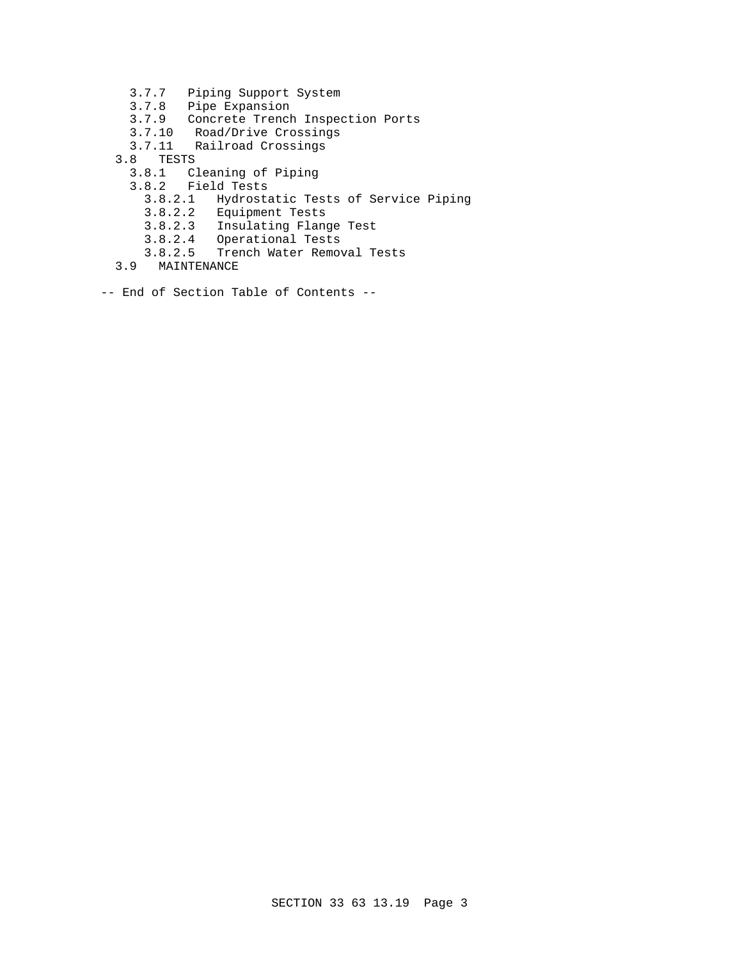- 3.7.7 Piping Support System
- 3.7.8 Pipe Expansion
- 3.7.9 Concrete Trench Inspection Ports
- 3.7.10 Road/Drive Crossings
- 3.7.11 Railroad Crossings
- 3.8 TESTS
- 3.8.1 Cleaning of Piping
- 3.8.2 Field Tests
	- 3.8.2.1 Hydrostatic Tests of Service Piping
	- 3.8.2.2 Equipment Tests
	- 3.8.2.3 Insulating Flange Test
	- 3.8.2.4 Operational Tests
	- 3.8.2.5 Trench Water Removal Tests
	- 3.9 MAINTENANCE
- -- End of Section Table of Contents --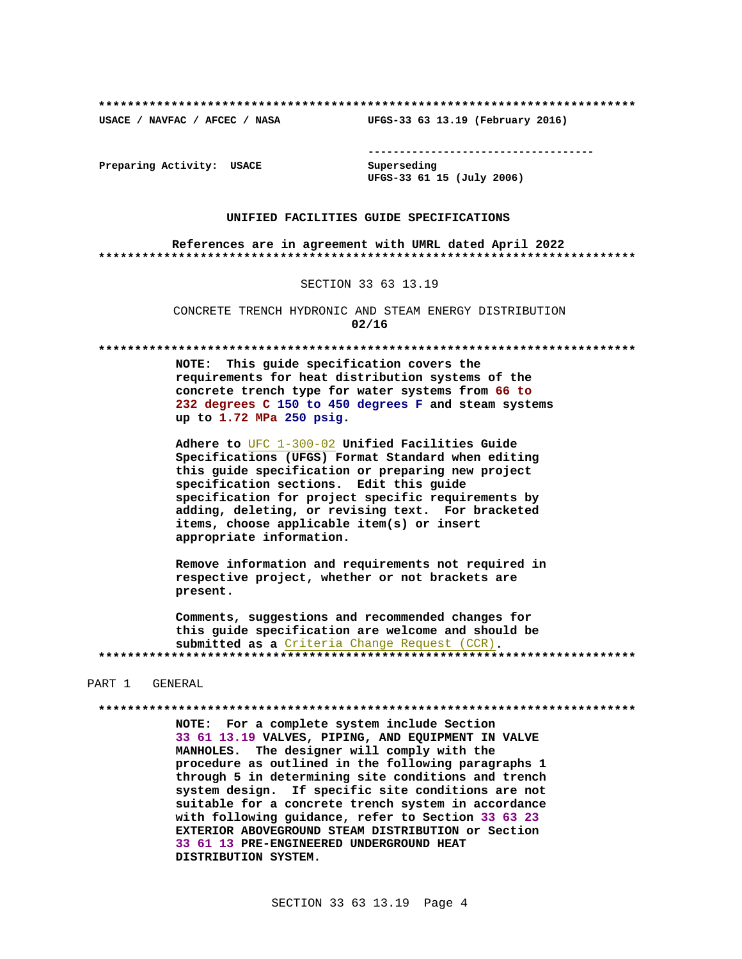USACE / NAVFAC / AFCEC / NASA

--------------------------------------

Preparing Activity: USACE

Superseding UFGS-33 61 15 (July 2006)

UFGS-33 63 13.19 (February 2016)

### UNIFIED FACILITIES GUIDE SPECIFICATIONS

References are in agreement with UMRL dated April 2022 

SECTION 33 63 13.19

CONCRETE TRENCH HYDRONIC AND STEAM ENERGY DISTRIBUTION  $02/16$ 

NOTE: This guide specification covers the requirements for heat distribution systems of the concrete trench type for water systems from 66 to 232 degrees C 150 to 450 degrees F and steam systems up to 1.72 MPa 250 psig.

Adhere to UFC 1-300-02 Unified Facilities Guide Specifications (UFGS) Format Standard when editing this guide specification or preparing new project specification sections. Edit this guide specification for project specific requirements by adding, deleting, or revising text. For bracketed items, choose applicable item(s) or insert appropriate information.

Remove information and requirements not required in respective project, whether or not brackets are present.

Comments, suggestions and recommended changes for this guide specification are welcome and should be submitted as a Criteria Change Request (CCR). 

#### PART 1 GENERAL

NOTE: For a complete system include Section 33 61 13.19 VALVES, PIPING, AND EQUIPMENT IN VALVE MANHOLES. The designer will comply with the procedure as outlined in the following paragraphs 1 through 5 in determining site conditions and trench system design. If specific site conditions are not suitable for a concrete trench system in accordance with following guidance, refer to Section 33 63 23 EXTERIOR ABOVEGROUND STEAM DISTRIBUTION or Section 33 61 13 PRE-ENGINEERED UNDERGROUND HEAT DISTRIBUTION SYSTEM.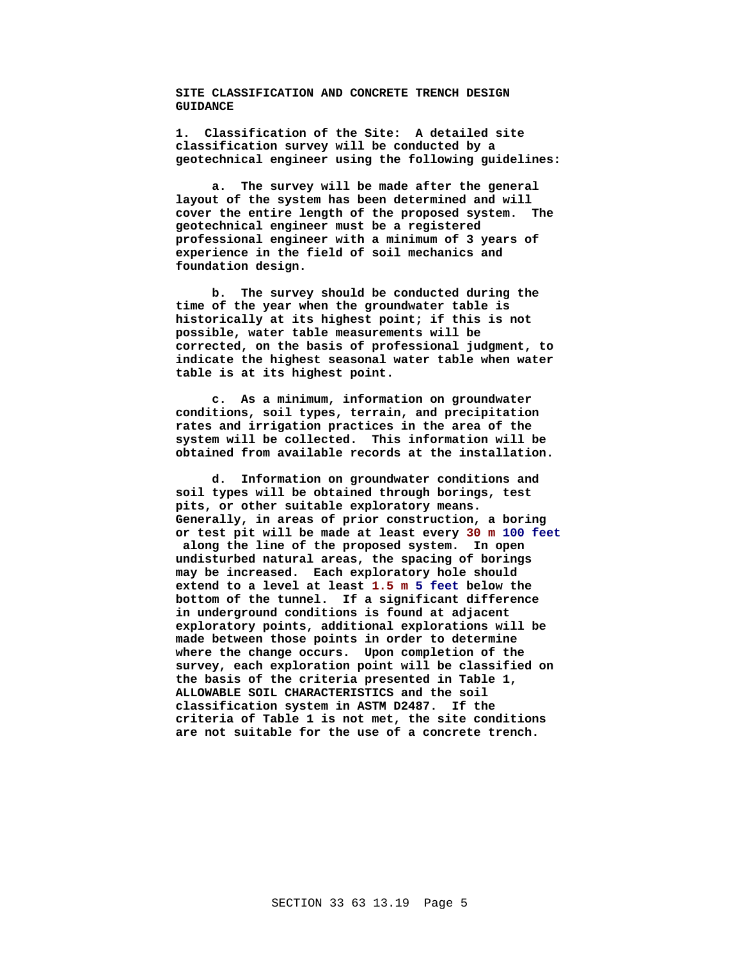**SITE CLASSIFICATION AND CONCRETE TRENCH DESIGN GUIDANCE**

**1. Classification of the Site: A detailed site classification survey will be conducted by a geotechnical engineer using the following guidelines:**

**a. The survey will be made after the general layout of the system has been determined and will cover the entire length of the proposed system. The geotechnical engineer must be a registered professional engineer with a minimum of 3 years of experience in the field of soil mechanics and foundation design.**

**b. The survey should be conducted during the time of the year when the groundwater table is historically at its highest point; if this is not possible, water table measurements will be corrected, on the basis of professional judgment, to indicate the highest seasonal water table when water table is at its highest point.**

**c. As a minimum, information on groundwater conditions, soil types, terrain, and precipitation rates and irrigation practices in the area of the system will be collected. This information will be obtained from available records at the installation.**

**d. Information on groundwater conditions and soil types will be obtained through borings, test pits, or other suitable exploratory means. Generally, in areas of prior construction, a boring or test pit will be made at least every 30 m 100 feet along the line of the proposed system. In open undisturbed natural areas, the spacing of borings may be increased. Each exploratory hole should extend to a level at least 1.5 m 5 feet below the bottom of the tunnel. If a significant difference in underground conditions is found at adjacent exploratory points, additional explorations will be made between those points in order to determine where the change occurs. Upon completion of the survey, each exploration point will be classified on the basis of the criteria presented in Table 1, ALLOWABLE SOIL CHARACTERISTICS and the soil classification system in ASTM D2487. If the criteria of Table 1 is not met, the site conditions are not suitable for the use of a concrete trench.**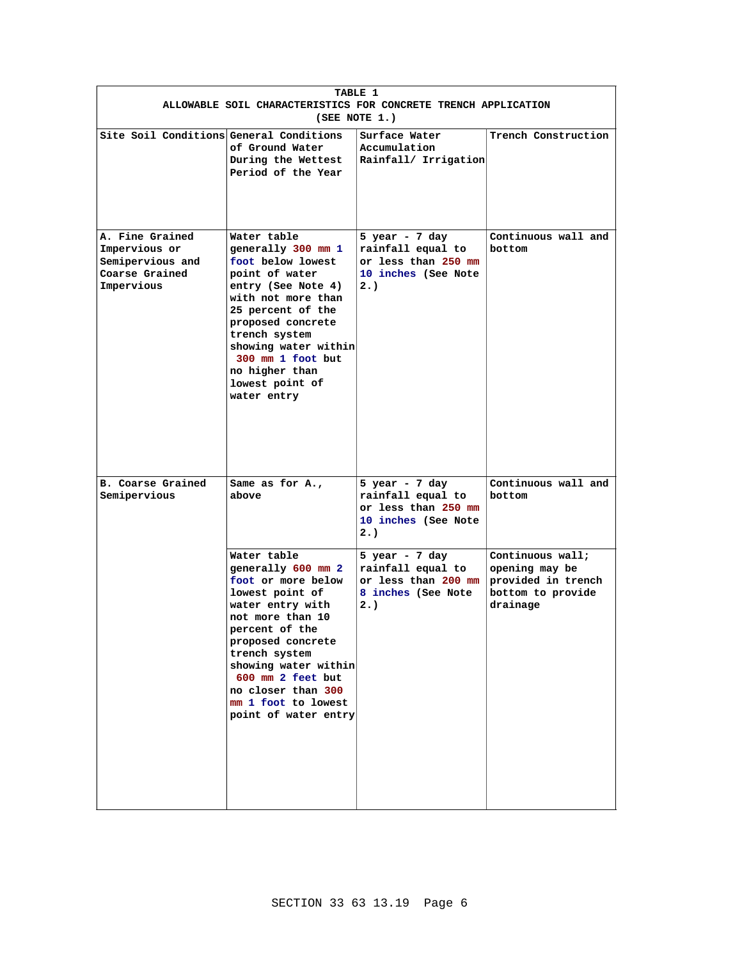| TABLE 1<br>ALLOWABLE SOIL CHARACTERISTICS FOR CONCRETE TRENCH APPLICATION<br>(SEE NOTE 1.) |                                                                                                                                                                                                                                                                                              |                                                                                           |                                                                                           |
|--------------------------------------------------------------------------------------------|----------------------------------------------------------------------------------------------------------------------------------------------------------------------------------------------------------------------------------------------------------------------------------------------|-------------------------------------------------------------------------------------------|-------------------------------------------------------------------------------------------|
| Site Soil Conditions General Conditions                                                    | of Ground Water<br>During the Wettest<br>Period of the Year                                                                                                                                                                                                                                  | Surface Water<br>Accumulation<br>Rainfall/ Irrigation                                     | Trench Construction                                                                       |
| A. Fine Grained<br>Impervious or<br>Semipervious and<br>Coarse Grained<br>Impervious       | Water table<br>generally 300 mm 1<br>foot below lowest<br>point of water<br>entry (See Note 4)<br>with not more than<br>25 percent of the<br>proposed concrete<br>trench system<br>showing water within<br>300 mm 1 foot but<br>no higher than<br>lowest point of<br>water entry             | 5 year - 7 day<br>rainfall equal to<br>or less than 250 mm<br>10 inches (See Note<br>2.   | Continuous wall and<br>bottom                                                             |
| <b>B. Coarse Grained</b><br>Semipervious                                                   | Same as for A.,<br>above                                                                                                                                                                                                                                                                     | 5 year - $7$ day<br>rainfall equal to<br>or less than 250 mm<br>10 inches (See Note<br>2. | Continuous wall and<br>bottom                                                             |
|                                                                                            | Water table<br>generally 600 mm 2<br>foot or more below<br>lowest point of<br>water entry with<br>not more than 10<br>percent of the<br>proposed concrete<br>trench system<br>showing water within<br>600 mm 2 feet but<br>no closer than 300<br>mm 1 foot to lowest<br>point of water entry | 5 year - $7$ day<br>rainfall equal to<br>or less than 200 mm<br>8 inches (See Note<br>2.  | Continuous wall;<br>opening may be<br>provided in trench<br>bottom to provide<br>drainage |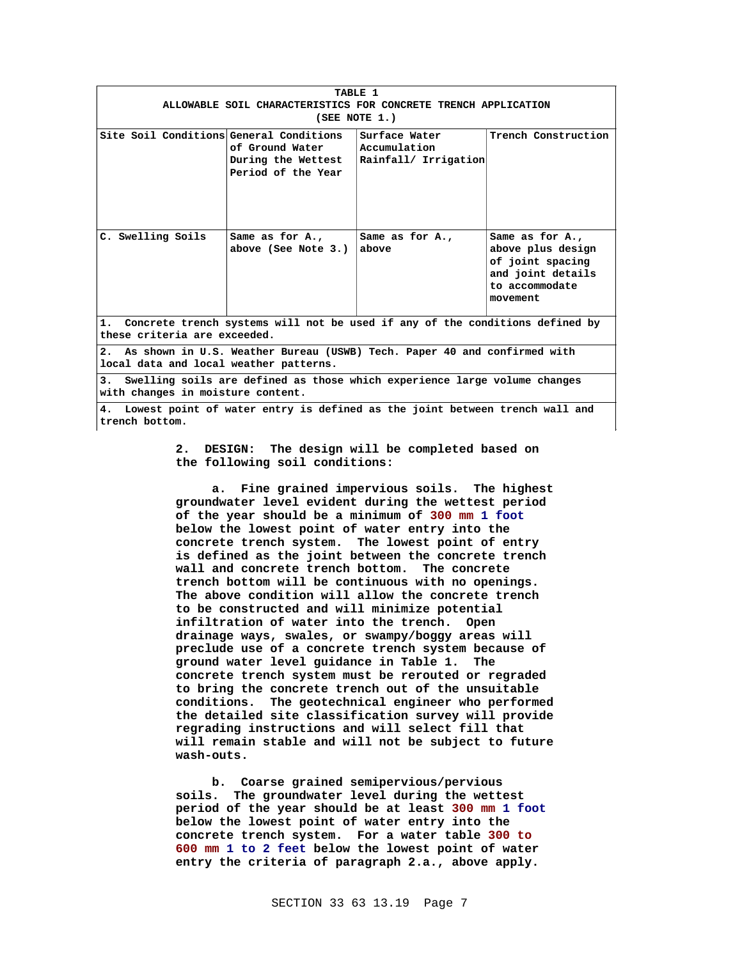| TABLE 1                                                                                                               |                                                             |                                                       |                                                                                                             |
|-----------------------------------------------------------------------------------------------------------------------|-------------------------------------------------------------|-------------------------------------------------------|-------------------------------------------------------------------------------------------------------------|
| ALLOWABLE SOIL CHARACTERISTICS FOR CONCRETE TRENCH APPLICATION                                                        |                                                             |                                                       |                                                                                                             |
|                                                                                                                       |                                                             | (SEE NOTE 1.)                                         |                                                                                                             |
| Site Soil Conditions General Conditions                                                                               | of Ground Water<br>During the Wettest<br>Period of the Year | Surface Water<br>Accumulation<br>Rainfall/ Irrigation | Trench Construction                                                                                         |
| C. Swelling Soils                                                                                                     | Same as for A.,<br>above (See Note 3.)                      | Same as for A.,<br>above                              | Same as for A.,<br>above plus design<br>of joint spacing<br>and joint details<br>to accommodate<br>movement |
| 1. Concrete trench systems will not be used if any of the conditions defined by<br>these criteria are exceeded.       |                                                             |                                                       |                                                                                                             |
| 2. As shown in U.S. Weather Bureau (USWB) Tech. Paper 40 and confirmed with<br>local data and local weather patterns. |                                                             |                                                       |                                                                                                             |
| Swelling soils are defined as those which experience large volume changes<br>3.<br>with changes in moisture content.  |                                                             |                                                       |                                                                                                             |
| Lowest point of water entry is defined as the joint between trench wall and<br>4.<br>trench bottom.                   |                                                             |                                                       |                                                                                                             |

**2. DESIGN: The design will be completed based on the following soil conditions:**

**a. Fine grained impervious soils. The highest groundwater level evident during the wettest period of the year should be a minimum of 300 mm 1 foot below the lowest point of water entry into the concrete trench system. The lowest point of entry is defined as the joint between the concrete trench wall and concrete trench bottom. The concrete trench bottom will be continuous with no openings. The above condition will allow the concrete trench to be constructed and will minimize potential infiltration of water into the trench. Open drainage ways, swales, or swampy/boggy areas will preclude use of a concrete trench system because of ground water level guidance in Table 1. The concrete trench system must be rerouted or regraded to bring the concrete trench out of the unsuitable conditions. The geotechnical engineer who performed the detailed site classification survey will provide regrading instructions and will select fill that will remain stable and will not be subject to future wash-outs.**

**b. Coarse grained semipervious/pervious soils. The groundwater level during the wettest period of the year should be at least 300 mm 1 foot below the lowest point of water entry into the concrete trench system. For a water table 300 to 600 mm 1 to 2 feet below the lowest point of water entry the criteria of paragraph 2.a., above apply.**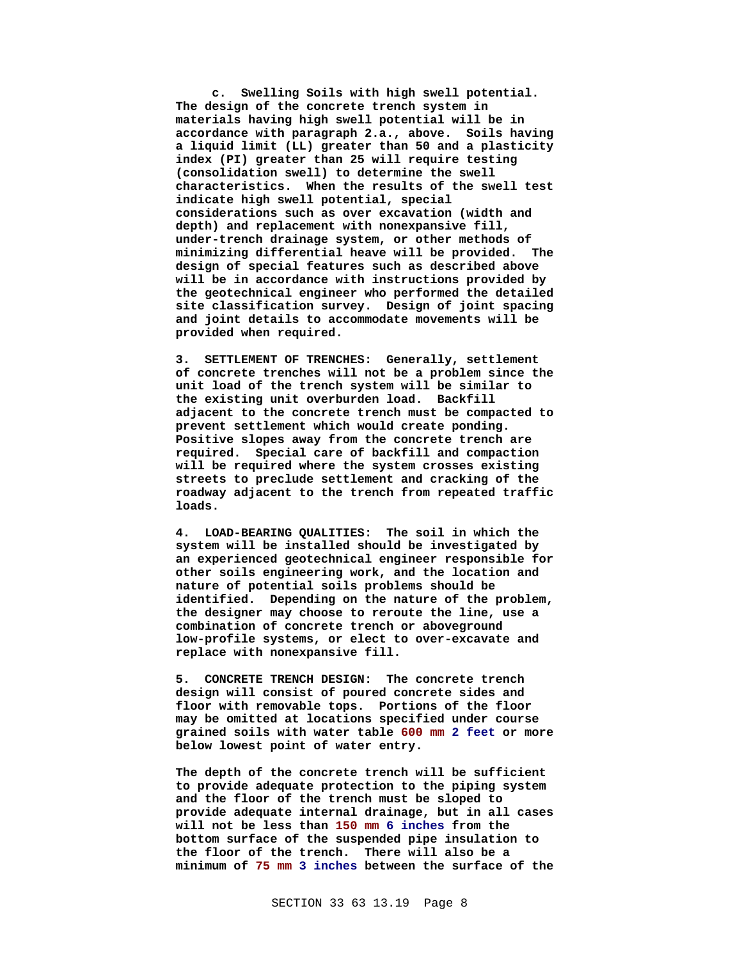**c. Swelling Soils with high swell potential. The design of the concrete trench system in materials having high swell potential will be in accordance with paragraph 2.a., above. Soils having a liquid limit (LL) greater than 50 and a plasticity index (PI) greater than 25 will require testing (consolidation swell) to determine the swell characteristics. When the results of the swell test indicate high swell potential, special considerations such as over excavation (width and depth) and replacement with nonexpansive fill, under-trench drainage system, or other methods of minimizing differential heave will be provided. The design of special features such as described above will be in accordance with instructions provided by the geotechnical engineer who performed the detailed site classification survey. Design of joint spacing and joint details to accommodate movements will be provided when required.**

**3. SETTLEMENT OF TRENCHES: Generally, settlement of concrete trenches will not be a problem since the unit load of the trench system will be similar to the existing unit overburden load. Backfill adjacent to the concrete trench must be compacted to prevent settlement which would create ponding. Positive slopes away from the concrete trench are required. Special care of backfill and compaction will be required where the system crosses existing streets to preclude settlement and cracking of the roadway adjacent to the trench from repeated traffic loads.**

**4. LOAD-BEARING QUALITIES: The soil in which the system will be installed should be investigated by an experienced geotechnical engineer responsible for other soils engineering work, and the location and nature of potential soils problems should be identified. Depending on the nature of the problem, the designer may choose to reroute the line, use a combination of concrete trench or aboveground low-profile systems, or elect to over-excavate and replace with nonexpansive fill.**

**5. CONCRETE TRENCH DESIGN: The concrete trench design will consist of poured concrete sides and floor with removable tops. Portions of the floor may be omitted at locations specified under course grained soils with water table 600 mm 2 feet or more below lowest point of water entry.**

**The depth of the concrete trench will be sufficient to provide adequate protection to the piping system and the floor of the trench must be sloped to provide adequate internal drainage, but in all cases will not be less than 150 mm 6 inches from the bottom surface of the suspended pipe insulation to the floor of the trench. There will also be a minimum of 75 mm 3 inches between the surface of the**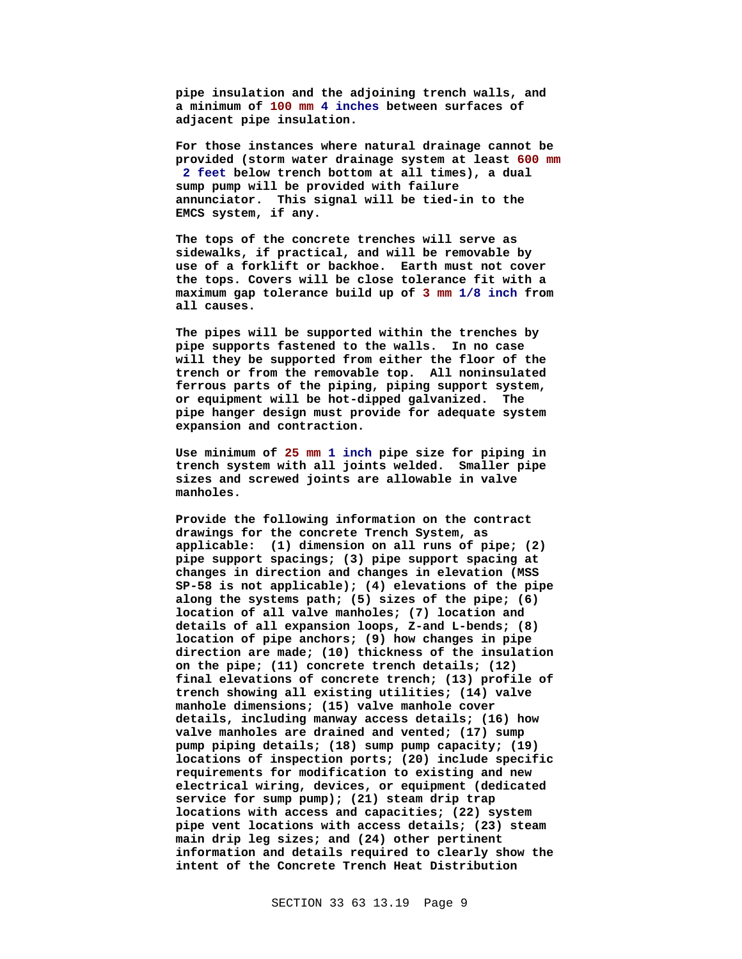**pipe insulation and the adjoining trench walls, and a minimum of 100 mm 4 inches between surfaces of adjacent pipe insulation.**

**For those instances where natural drainage cannot be provided (storm water drainage system at least 600 mm 2 feet below trench bottom at all times), a dual sump pump will be provided with failure annunciator. This signal will be tied-in to the EMCS system, if any.**

**The tops of the concrete trenches will serve as sidewalks, if practical, and will be removable by use of a forklift or backhoe. Earth must not cover the tops. Covers will be close tolerance fit with a maximum gap tolerance build up of 3 mm 1/8 inch from all causes.**

**The pipes will be supported within the trenches by pipe supports fastened to the walls. In no case will they be supported from either the floor of the trench or from the removable top. All noninsulated ferrous parts of the piping, piping support system, or equipment will be hot-dipped galvanized. The pipe hanger design must provide for adequate system expansion and contraction.**

**Use minimum of 25 mm 1 inch pipe size for piping in trench system with all joints welded. Smaller pipe sizes and screwed joints are allowable in valve manholes.**

**Provide the following information on the contract drawings for the concrete Trench System, as applicable: (1) dimension on all runs of pipe; (2) pipe support spacings; (3) pipe support spacing at changes in direction and changes in elevation (MSS SP-58 is not applicable); (4) elevations of the pipe along the systems path; (5) sizes of the pipe; (6) location of all valve manholes; (7) location and details of all expansion loops, Z-and L-bends; (8) location of pipe anchors; (9) how changes in pipe direction are made; (10) thickness of the insulation on the pipe; (11) concrete trench details; (12) final elevations of concrete trench; (13) profile of trench showing all existing utilities; (14) valve manhole dimensions; (15) valve manhole cover details, including manway access details; (16) how valve manholes are drained and vented; (17) sump pump piping details; (18) sump pump capacity; (19) locations of inspection ports; (20) include specific requirements for modification to existing and new electrical wiring, devices, or equipment (dedicated service for sump pump); (21) steam drip trap locations with access and capacities; (22) system pipe vent locations with access details; (23) steam main drip leg sizes; and (24) other pertinent information and details required to clearly show the intent of the Concrete Trench Heat Distribution**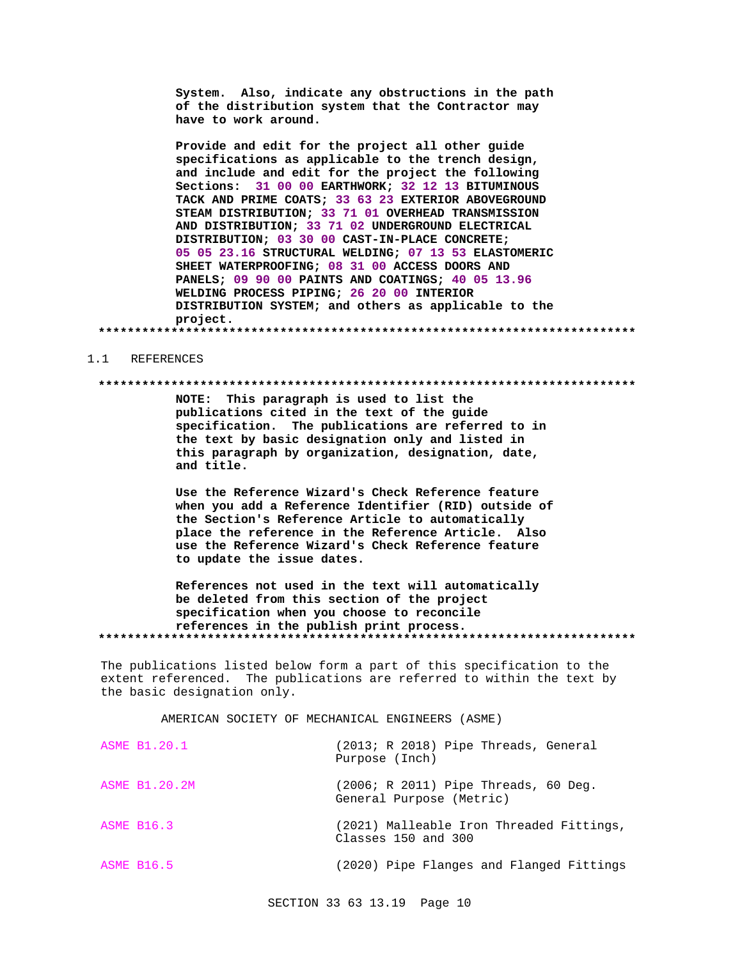System. Also, indicate any obstructions in the path of the distribution system that the Contractor may have to work around.

Provide and edit for the project all other guide specifications as applicable to the trench design, and include and edit for the project the following Sections: 31 00 00 EARTHWORK; 32 12 13 BITUMINOUS TACK AND PRIME COATS; 33 63 23 EXTERIOR ABOVEGROUND STEAM DISTRIBUTION; 33 71 01 OVERHEAD TRANSMISSION AND DISTRIBUTION; 33 71 02 UNDERGROUND ELECTRICAL DISTRIBUTION; 03 30 00 CAST-IN-PLACE CONCRETE; 05 05 23.16 STRUCTURAL WELDING; 07 13 53 ELASTOMERIC SHEET WATERPROOFING; 08 31 00 ACCESS DOORS AND PANELS; 09 90 00 PAINTS AND COATINGS; 40 05 13.96 WELDING PROCESS PIPING; 26 20 00 INTERIOR DISTRIBUTION SYSTEM; and others as applicable to the project. 

#### REFERENCES  $1.1$

#### 

NOTE: This paragraph is used to list the publications cited in the text of the guide specification. The publications are referred to in the text by basic designation only and listed in this paragraph by organization, designation, date, and title.

Use the Reference Wizard's Check Reference feature when you add a Reference Identifier (RID) outside of the Section's Reference Article to automatically place the reference in the Reference Article. Also use the Reference Wizard's Check Reference feature to update the issue dates.

References not used in the text will automatically be deleted from this section of the project specification when you choose to reconcile references in the publish print process. 

The publications listed below form a part of this specification to the extent referenced. The publications are referred to within the text by the basic designation only.

AMERICAN SOCIETY OF MECHANICAL ENGINEERS (ASME)

| <b>ASME B1.20.1</b> | $(2013; R 2018)$ Pipe Threads, General<br>Purpose (Inch)           |
|---------------------|--------------------------------------------------------------------|
| ASME B1.20.2M       | $(2006; R 2011)$ Pipe Threads, 60 Deq.<br>General Purpose (Metric) |
| <b>ASME B16.3</b>   | (2021) Malleable Iron Threaded Fittings,<br>Classes 150 and 300    |
| <b>ASME B16.5</b>   | (2020) Pipe Flanges and Flanged Fittings                           |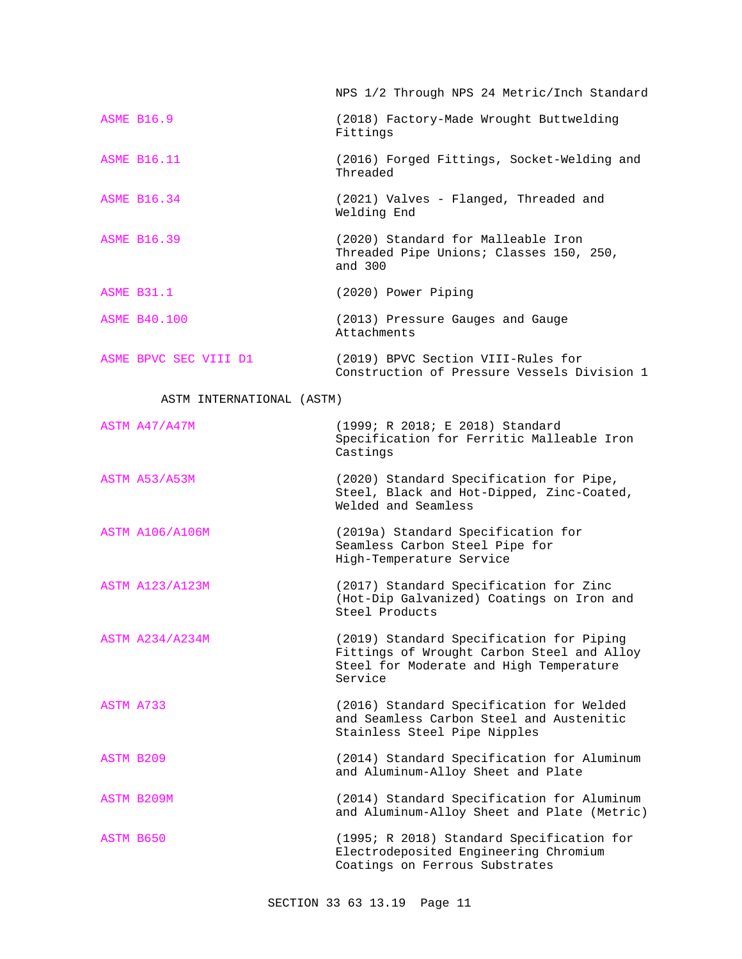NPS 1/2 Through NPS 24 Metric/Inch Standard

- ASME B16.9 (2018) Factory-Made Wrought Buttwelding Fittings
- ASME B16.11 (2016) Forged Fittings, Socket-Welding and Threaded
- ASME B16.34 (2021) Valves Flanged, Threaded and Welding End
- ASME B16.39 (2020) Standard for Malleable Iron Threaded Pipe Unions; Classes 150, 250, and 300
- ASME B31.1 (2020) Power Piping

ASME B40.100 (2013) Pressure Gauges and Gauge Attachments

ASME BPVC SEC VIII D1 (2019) BPVC Section VIII-Rules for Construction of Pressure Vessels Division 1

### ASTM INTERNATIONAL (ASTM)

| ASTM A47/A47M          | (1999; R 2018; E 2018) Standard<br>Specification for Ferritic Malleable Iron<br>Castings                                                     |
|------------------------|----------------------------------------------------------------------------------------------------------------------------------------------|
| ASTM A53/A53M          | (2020) Standard Specification for Pipe,<br>Steel, Black and Hot-Dipped, Zinc-Coated,<br>Welded and Seamless                                  |
| <b>ASTM A106/A106M</b> | (2019a) Standard Specification for<br>Seamless Carbon Steel Pipe for<br>High-Temperature Service                                             |
| <b>ASTM A123/A123M</b> | (2017) Standard Specification for Zinc<br>(Hot-Dip Galvanized) Coatings on Iron and<br>Steel Products                                        |
| <b>ASTM A234/A234M</b> | (2019) Standard Specification for Piping<br>Fittings of Wrought Carbon Steel and Alloy<br>Steel for Moderate and High Temperature<br>Service |
| ASTM A733              | (2016) Standard Specification for Welded<br>and Seamless Carbon Steel and Austenitic<br>Stainless Steel Pipe Nipples                         |
| ASTM B209              | (2014) Standard Specification for Aluminum<br>and Aluminum-Alloy Sheet and Plate                                                             |
| ASTM B209M             | (2014) Standard Specification for Aluminum<br>and Aluminum-Alloy Sheet and Plate (Metric)                                                    |
| ASTM B650              | (1995; R 2018) Standard Specification for<br>Electrodeposited Engineering Chromium<br>Coatings on Ferrous Substrates                         |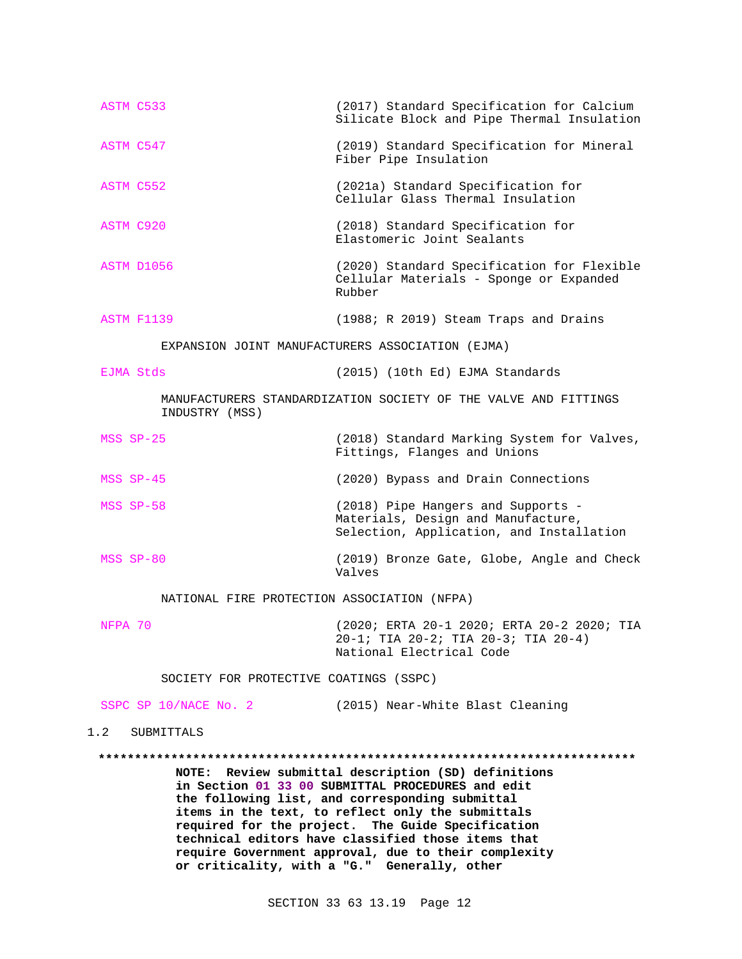| ASTM C533                                   | (2017) Standard Specification for Calcium<br>Silicate Block and Pipe Thermal Insulation                                                                                                                      |
|---------------------------------------------|--------------------------------------------------------------------------------------------------------------------------------------------------------------------------------------------------------------|
| ASTM C547                                   | (2019) Standard Specification for Mineral<br>Fiber Pipe Insulation                                                                                                                                           |
| ASTM C552                                   | (2021a) Standard Specification for<br>Cellular Glass Thermal Insulation                                                                                                                                      |
| <b>ASTM C920</b>                            | (2018) Standard Specification for<br>Elastomeric Joint Sealants                                                                                                                                              |
| ASTM D1056                                  | (2020) Standard Specification for Flexible<br>Cellular Materials - Sponge or Expanded<br>Rubber                                                                                                              |
| ASTM F1139                                  | (1988; R 2019) Steam Traps and Drains                                                                                                                                                                        |
|                                             | EXPANSION JOINT MANUFACTURERS ASSOCIATION (EJMA)                                                                                                                                                             |
| EJMA Stds                                   | (2015) (10th Ed) EJMA Standards                                                                                                                                                                              |
| INDUSTRY (MSS)                              | MANUFACTURERS STANDARDIZATION SOCIETY OF THE VALVE AND FITTINGS                                                                                                                                              |
| MSS SP-25                                   | (2018) Standard Marking System for Valves,<br>Fittings, Flanges and Unions                                                                                                                                   |
| MSS SP-45                                   | (2020) Bypass and Drain Connections                                                                                                                                                                          |
| MSS SP-58                                   | (2018) Pipe Hangers and Supports -<br>Materials, Design and Manufacture,<br>Selection, Application, and Installation                                                                                         |
| MSS SP-80                                   | (2019) Bronze Gate, Globe, Angle and Check<br>Valves                                                                                                                                                         |
| NATIONAL FIRE PROTECTION ASSOCIATION (NFPA) |                                                                                                                                                                                                              |
| NFPA 70                                     | (2020; ERTA 20-1 2020; ERTA 20-2 2020; TIA<br>$20-1;$ TIA $20-2;$ TIA $20-3;$ TIA $20-4)$<br>National Electrical Code                                                                                        |
| SOCIETY FOR PROTECTIVE COATINGS (SSPC)      |                                                                                                                                                                                                              |
| SSPC SP 10/NACE No. 2                       | (2015) Near-White Blast Cleaning                                                                                                                                                                             |
| 1.2<br><b>SUBMITTALS</b>                    |                                                                                                                                                                                                              |
|                                             |                                                                                                                                                                                                              |
| <b>NOTE:</b>                                | Review submittal description (SD) definitions<br>in Section 01 33 00 SUBMITTAL PROCEDURES and edit<br>the following list, and corresponding submittal<br>$it$ ang in the text to reflect enly the qubmittels |

**items in the text, to reflect only the submittals required for the project. The Guide Specification technical editors have classified those items that require Government approval, due to their complexity or criticality, with a "G." Generally, other**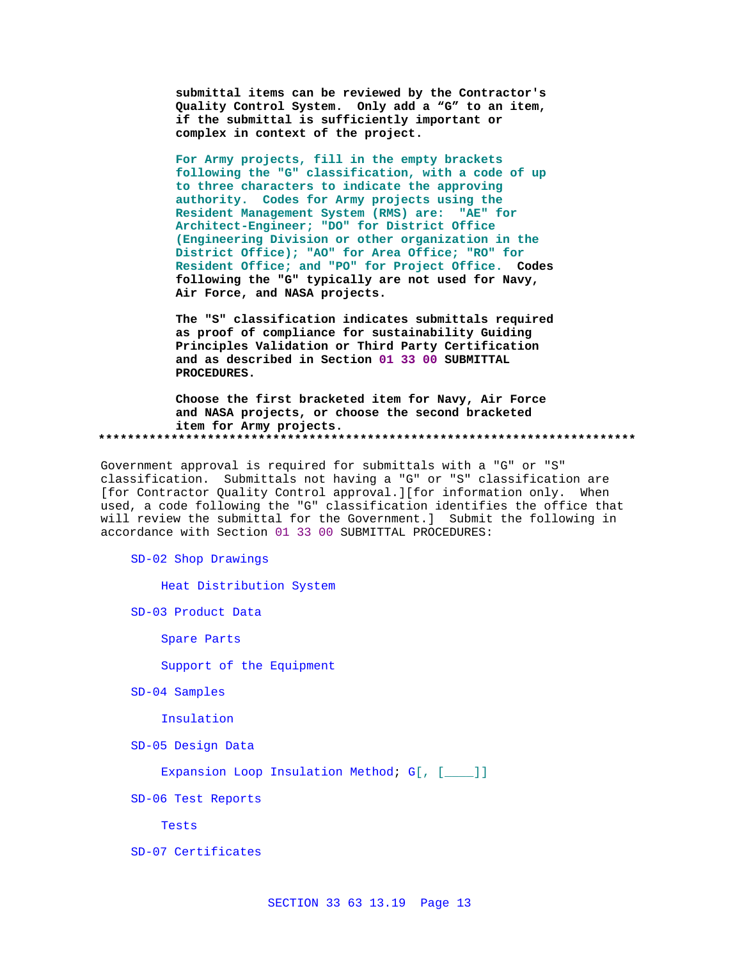submittal items can be reviewed by the Contractor's Quality Control System. Only add a "G" to an item, if the submittal is sufficiently important or complex in context of the project.

For Army projects, fill in the empty brackets following the "G" classification, with a code of up to three characters to indicate the approving authority. Codes for Army projects using the Resident Management System (RMS) are: "AE" for Architect-Engineer; "DO" for District Office (Engineering Division or other organization in the District Office); "AO" for Area Office; "RO" for Resident Office; and "PO" for Project Office. Codes following the "G" typically are not used for Navy, Air Force, and NASA projects.

The "S" classification indicates submittals required as proof of compliance for sustainability Guiding Principles Validation or Third Party Certification and as described in Section 01 33 00 SUBMITTAL PROCEDURES.

Choose the first bracketed item for Navy, Air Force and NASA projects, or choose the second bracketed item for Army projects. 

Government approval is required for submittals with a "G" or "S" classification. Submittals not having a "G" or "S" classification are [for Contractor Quality Control approval.][for information only. When used, a code following the "G" classification identifies the office that will review the submittal for the Government.] Submit the following in accordance with Section 01 33 00 SUBMITTAL PROCEDURES:

SD-02 Shop Drawings

Heat Distribution System

SD-03 Product Data

Spare Parts

Support of the Equipment

SD-04 Samples

Insulation

SD-05 Design Data

Expansion Loop Insulation Method; G[, [\_\_\_]]

SD-06 Test Reports

Tests

SD-07 Certificates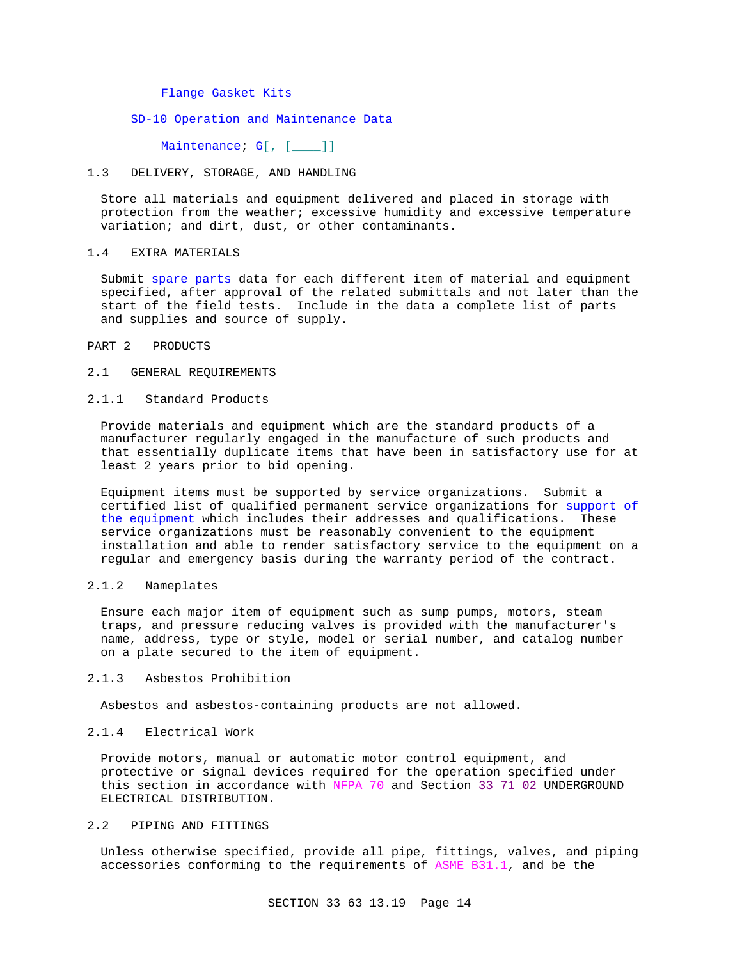### Flange Gasket Kits

## SD-10 Operation and Maintenance Data

Maintenance; G[, [\_\_\_]]

#### 1.3 DELIVERY, STORAGE, AND HANDLING

Store all materials and equipment delivered and placed in storage with protection from the weather; excessive humidity and excessive temperature variation; and dirt, dust, or other contaminants.

#### 1.4 EXTRA MATERIALS

Submit spare parts data for each different item of material and equipment specified, after approval of the related submittals and not later than the start of the field tests. Include in the data a complete list of parts and supplies and source of supply.

### PART 2 PRODUCTS

### 2.1 GENERAL REQUIREMENTS

## 2.1.1 Standard Products

Provide materials and equipment which are the standard products of a manufacturer regularly engaged in the manufacture of such products and that essentially duplicate items that have been in satisfactory use for at least 2 years prior to bid opening.

Equipment items must be supported by service organizations. Submit a certified list of qualified permanent service organizations for support of the equipment which includes their addresses and qualifications. These service organizations must be reasonably convenient to the equipment installation and able to render satisfactory service to the equipment on a regular and emergency basis during the warranty period of the contract.

### 2.1.2 Nameplates

Ensure each major item of equipment such as sump pumps, motors, steam traps, and pressure reducing valves is provided with the manufacturer's name, address, type or style, model or serial number, and catalog number on a plate secured to the item of equipment.

#### 2.1.3 Asbestos Prohibition

Asbestos and asbestos-containing products are not allowed.

#### 2.1.4 Electrical Work

Provide motors, manual or automatic motor control equipment, and protective or signal devices required for the operation specified under this section in accordance with NFPA 70 and Section 33 71 02 UNDERGROUND ELECTRICAL DISTRIBUTION.

# 2.2 PIPING AND FITTINGS

Unless otherwise specified, provide all pipe, fittings, valves, and piping accessories conforming to the requirements of ASME B31.1, and be the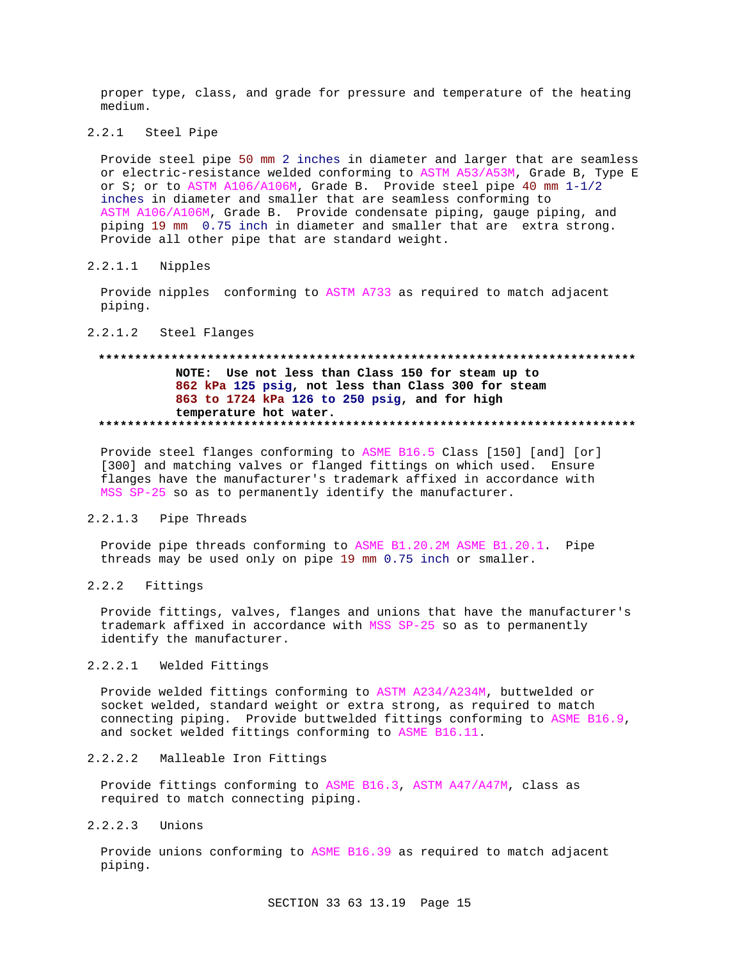proper type, class, and grade for pressure and temperature of the heating medium.

# 2.2.1 Steel Pipe

Provide steel pipe 50 mm 2 inches in diameter and larger that are seamless or electric-resistance welded conforming to ASTM A53/A53M, Grade B, Type E or S; or to ASTM A106/A106M, Grade B. Provide steel pipe 40 mm 1-1/2 inches in diameter and smaller that are seamless conforming to ASTM A106/A106M, Grade B. Provide condensate piping, gauge piping, and piping 19 mm 0.75 inch in diameter and smaller that are extra strong. Provide all other pipe that are standard weight.

# 2.2.1.1 Nipples

Provide nipples conforming to ASTM A733 as required to match adjacent piping.

### 2.2.1.2 Steel Flanges

# **\*\*\*\*\*\*\*\*\*\*\*\*\*\*\*\*\*\*\*\*\*\*\*\*\*\*\*\*\*\*\*\*\*\*\*\*\*\*\*\*\*\*\*\*\*\*\*\*\*\*\*\*\*\*\*\*\*\*\*\*\*\*\*\*\*\*\*\*\*\*\*\*\*\* NOTE: Use not less than Class 150 for steam up to 862 kPa 125 psig, not less than Class 300 for steam 863 to 1724 kPa 126 to 250 psig, and for high temperature hot water. \*\*\*\*\*\*\*\*\*\*\*\*\*\*\*\*\*\*\*\*\*\*\*\*\*\*\*\*\*\*\*\*\*\*\*\*\*\*\*\*\*\*\*\*\*\*\*\*\*\*\*\*\*\*\*\*\*\*\*\*\*\*\*\*\*\*\*\*\*\*\*\*\*\***

Provide steel flanges conforming to ASME B16.5 Class [150] [and] [or] [300] and matching valves or flanged fittings on which used. Ensure flanges have the manufacturer's trademark affixed in accordance with MSS SP-25 so as to permanently identify the manufacturer.

# 2.2.1.3 Pipe Threads

Provide pipe threads conforming to ASME B1.20.2M ASME B1.20.1. Pipe threads may be used only on pipe 19 mm 0.75 inch or smaller.

## 2.2.2 Fittings

Provide fittings, valves, flanges and unions that have the manufacturer's trademark affixed in accordance with MSS SP-25 so as to permanently identify the manufacturer.

# 2.2.2.1 Welded Fittings

Provide welded fittings conforming to ASTM A234/A234M, buttwelded or socket welded, standard weight or extra strong, as required to match connecting piping. Provide buttwelded fittings conforming to ASME B16.9, and socket welded fittings conforming to ASME B16.11.

# 2.2.2.2 Malleable Iron Fittings

Provide fittings conforming to ASME B16.3, ASTM A47/A47M, class as required to match connecting piping.

# 2.2.2.3 Unions

Provide unions conforming to ASME B16.39 as required to match adjacent piping.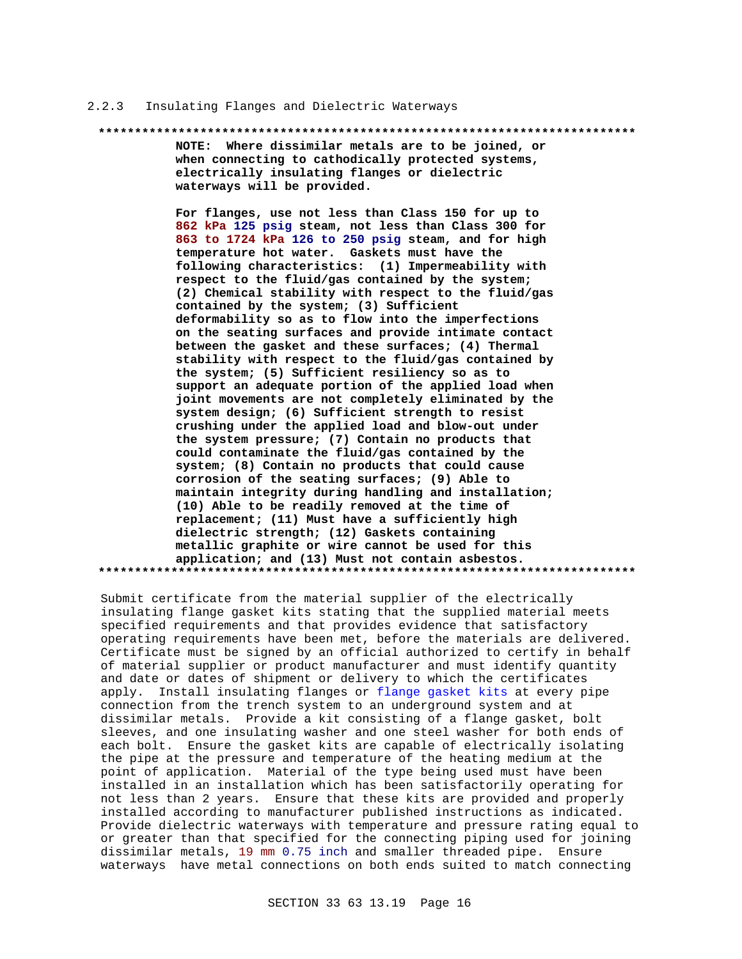#### Insulating Flanges and Dielectric Waterways  $2.2.3$

#### 

NOTE: Where dissimilar metals are to be joined, or when connecting to cathodically protected systems, electrically insulating flanges or dielectric waterways will be provided.

For flanges, use not less than Class 150 for up to 862 kPa 125 psig steam, not less than Class 300 for 863 to 1724 kPa 126 to 250 psig steam, and for high temperature hot water. Gaskets must have the following characteristics: (1) Impermeability with respect to the fluid/gas contained by the system; (2) Chemical stability with respect to the fluid/gas contained by the system; (3) Sufficient deformability so as to flow into the imperfections on the seating surfaces and provide intimate contact between the gasket and these surfaces; (4) Thermal stability with respect to the fluid/gas contained by the system; (5) Sufficient resiliency so as to support an adequate portion of the applied load when joint movements are not completely eliminated by the system design; (6) Sufficient strength to resist crushing under the applied load and blow-out under the system pressure; (7) Contain no products that could contaminate the fluid/gas contained by the system; (8) Contain no products that could cause corrosion of the seating surfaces; (9) Able to maintain integrity during handling and installation; (10) Able to be readily removed at the time of replacement; (11) Must have a sufficiently high dielectric strength; (12) Gaskets containing metallic graphite or wire cannot be used for this application; and (13) Must not contain asbestos. 

Submit certificate from the material supplier of the electrically insulating flange gasket kits stating that the supplied material meets specified requirements and that provides evidence that satisfactory operating requirements have been met, before the materials are delivered. Certificate must be signed by an official authorized to certify in behalf of material supplier or product manufacturer and must identify quantity and date or dates of shipment or delivery to which the certificates apply. Install insulating flanges or flange gasket kits at every pipe connection from the trench system to an underground system and at dissimilar metals. Provide a kit consisting of a flange gasket, bolt sleeves, and one insulating washer and one steel washer for both ends of each bolt. Ensure the gasket kits are capable of electrically isolating the pipe at the pressure and temperature of the heating medium at the point of application. Material of the type being used must have been installed in an installation which has been satisfactorily operating for not less than 2 years. Ensure that these kits are provided and properly installed according to manufacturer published instructions as indicated. Provide dielectric waterways with temperature and pressure rating equal to or greater than that specified for the connecting piping used for joining dissimilar metals, 19 mm 0.75 inch and smaller threaded pipe. Ensure waterways have metal connections on both ends suited to match connecting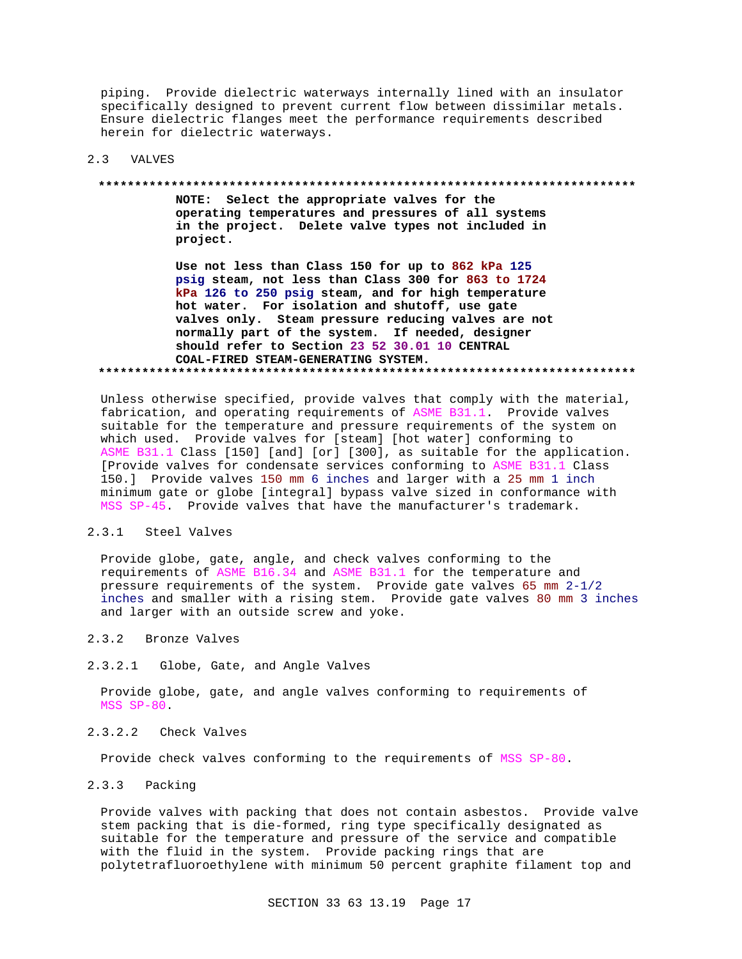piping. Provide dielectric waterways internally lined with an insulator specifically designed to prevent current flow between dissimilar metals. Ensure dielectric flanges meet the performance requirements described herein for dielectric waterways.

#### $2.3$ **VALVES**

#### 

NOTE: Select the appropriate valves for the operating temperatures and pressures of all systems in the project. Delete valve types not included in project.

Use not less than Class 150 for up to 862 kPa 125 psig steam, not less than Class 300 for 863 to 1724 kPa 126 to 250 psig steam, and for high temperature hot water. For isolation and shutoff, use gate valves only. Steam pressure reducing valves are not normally part of the system. If needed, designer should refer to Section 23 52 30.01 10 CENTRAL COAL-FIRED STEAM-GENERATING SYSTEM. 

Unless otherwise specified, provide valves that comply with the material, fabrication, and operating requirements of ASME B31.1. Provide valves suitable for the temperature and pressure requirements of the system on which used. Provide valves for [steam] [hot water] conforming to ASME B31.1 Class [150] [and] [or] [300], as suitable for the application. [Provide valves for condensate services conforming to ASME B31.1 Class 150.] Provide valves 150 mm 6 inches and larger with a 25 mm 1 inch minimum gate or globe [integral] bypass valve sized in conformance with MSS SP-45. Provide valves that have the manufacturer's trademark.

#### $2.3.1$ Steel Valves

Provide globe, gate, angle, and check valves conforming to the requirements of ASME B16.34 and ASME B31.1 for the temperature and pressure requirements of the system. Provide gate valves 65 mm 2-1/2 inches and smaller with a rising stem. Provide gate valves 80 mm 3 inches and larger with an outside screw and yoke.

- $2.3.2$ Bronze Valves
- $2.3.2.1$ Globe, Gate, and Angle Valves

Provide globe, gate, and angle valves conforming to requirements of MSS SP-80.

#### $2, 3, 2, 2$ Check Valves

Provide check valves conforming to the requirements of MSS SP-80.

#### $2.3.3$ Packing

Provide valves with packing that does not contain asbestos. Provide valve stem packing that is die-formed, ring type specifically designated as suitable for the temperature and pressure of the service and compatible with the fluid in the system. Provide packing rings that are polytetrafluoroethylene with minimum 50 percent graphite filament top and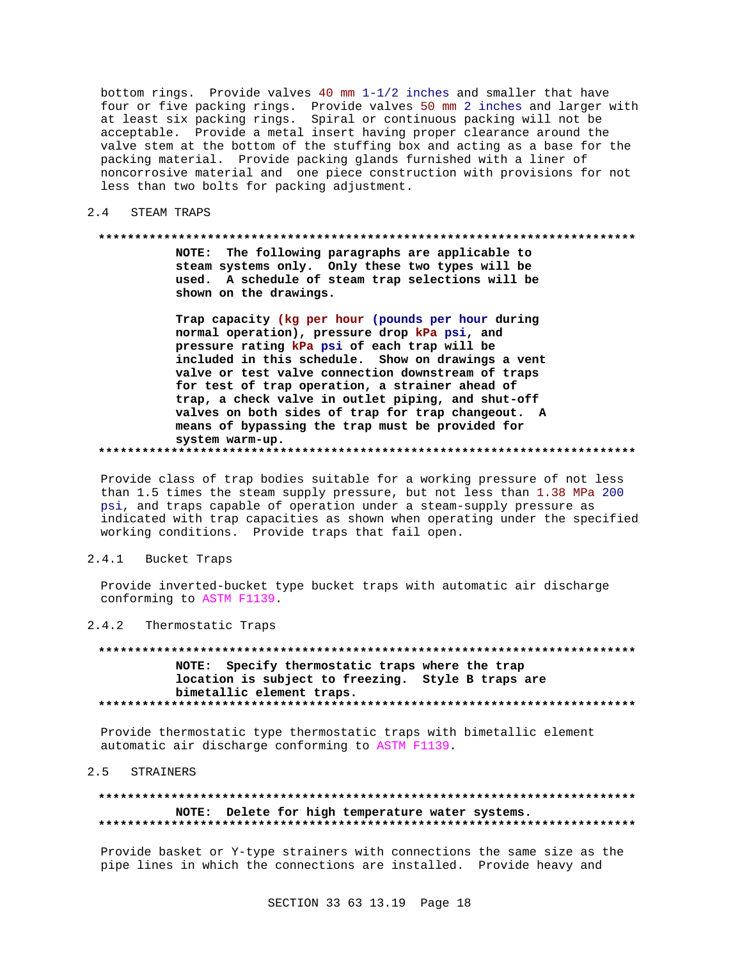bottom rings. Provide valves 40 mm  $1-1/2$  inches and smaller that have four or five packing rings. Provide valves 50 mm 2 inches and larger with at least six packing rings. Spiral or continuous packing will not be<br>acceptable. Provide a metal insert having proper clearance around the valve stem at the bottom of the stuffing box and acting as a base for the packing material. Provide packing glands furnished with a liner of noncorrosive material and one piece construction with provisions for not less than two bolts for packing adjustment.

 $2.4$ STEAM TRAPS

#### 

NOTE: The following paragraphs are applicable to steam systems only. Only these two types will be used. A schedule of steam trap selections will be shown on the drawings.

Trap capacity (kg per hour (pounds per hour during normal operation), pressure drop kPa psi, and pressure rating kPa psi of each trap will be included in this schedule. Show on drawings a vent valve or test valve connection downstream of traps for test of trap operation, a strainer ahead of trap, a check valve in outlet piping, and shut-off valves on both sides of trap for trap changeout. A means of bypassing the trap must be provided for system warm-up.

Provide class of trap bodies suitable for a working pressure of not less than 1.5 times the steam supply pressure, but not less than 1.38 MPa 200 psi, and traps capable of operation under a steam-supply pressure as indicated with trap capacities as shown when operating under the specified working conditions. Provide traps that fail open.

#### $2.4.1$ Bucket Traps

Provide inverted-bucket type bucket traps with automatic air discharge conforming to ASTM F1139.

#### $2.4.2$ Thermostatic Traps

NOTE: Specify thermostatic traps where the trap location is subject to freezing. Style B traps are bimetallic element traps. 

Provide thermostatic type thermostatic traps with bimetallic element automatic air discharge conforming to ASTM F1139.

#### $2.5$ STRAINERS

### NOTE: Delete for high temperature water systems.

Provide basket or Y-type strainers with connections the same size as the pipe lines in which the connections are installed. Provide heavy and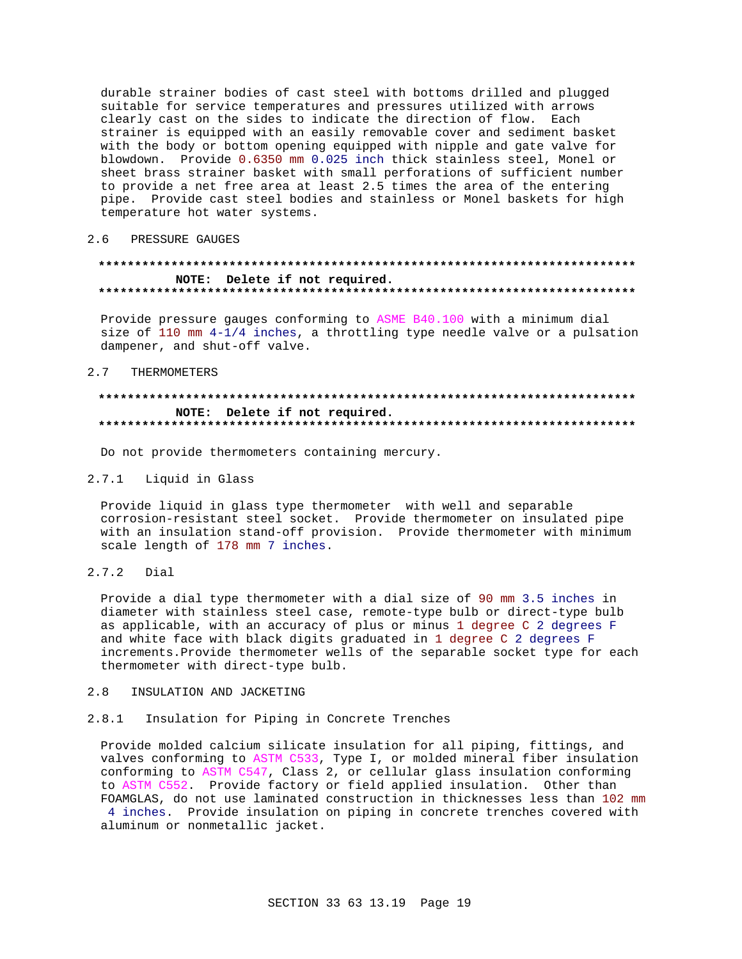durable strainer bodies of cast steel with bottoms drilled and plugged suitable for service temperatures and pressures utilized with arrows clearly cast on the sides to indicate the direction of flow. Each strainer is equipped with an easily removable cover and sediment basket with the body or bottom opening equipped with nipple and gate valve for blowdown. Provide 0.6350 mm 0.025 inch thick stainless steel, Monel or sheet brass strainer basket with small perforations of sufficient number to provide a net free area at least 2.5 times the area of the entering pipe. Provide cast steel bodies and stainless or Monel baskets for high temperature hot water systems.

## 2.6 PRESSURE GAUGES

### NOTE: Delete if not required.

Provide pressure gauges conforming to ASME B40.100 with a minimum dial size of 110 mm  $4-1/4$  inches, a throttling type needle valve or a pulsation dampener, and shut-off valve.

#### $2.7$ THERMOMETERS

### NOTE: Delete if not required.

Do not provide thermometers containing mercury.

## 2.7.1 Liquid in Glass

Provide liquid in glass type thermometer with well and separable corrosion-resistant steel socket. Provide thermometer on insulated pipe with an insulation stand-off provision. Provide thermometer with minimum scale length of 178 mm 7 inches.

#### $2.7.2$ Dial

Provide a dial type thermometer with a dial size of 90 mm 3.5 inches in diameter with stainless steel case, remote-type bulb or direct-type bulb as applicable, with an accuracy of plus or minus 1 degree C 2 degrees F and white face with black digits graduated in 1 degree C 2 degrees F increments. Provide thermometer wells of the separable socket type for each thermometer with direct-type bulb.

#### $2R$ INSULATION AND JACKETING

#### Insulation for Piping in Concrete Trenches  $2.8.1$

Provide molded calcium silicate insulation for all piping, fittings, and valves conforming to ASTM C533, Type I, or molded mineral fiber insulation conforming to ASTM C547, Class 2, or cellular glass insulation conforming to ASTM C552. Provide factory or field applied insulation. Other than FOAMGLAS, do not use laminated construction in thicknesses less than 102 mm 4 inches. Provide insulation on piping in concrete trenches covered with aluminum or nonmetallic jacket.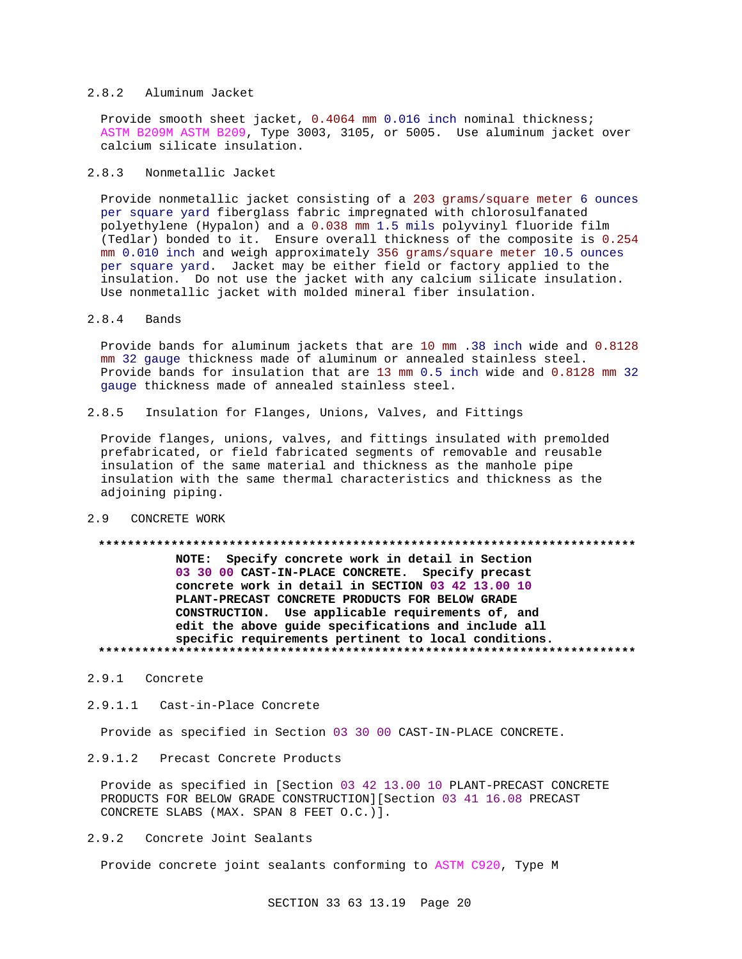#### $2.8.2$ Aluminum Jacket

Provide smooth sheet jacket, 0.4064 mm 0.016 inch nominal thickness; ASTM B209M ASTM B209, Type 3003, 3105, or 5005. Use aluminum jacket over calcium silicate insulation.

#### $2.8.3$ Nonmetallic Jacket

Provide nonmetallic jacket consisting of a 203 grams/square meter 6 ounces per square yard fiberglass fabric impregnated with chlorosulfanated polyethylene (Hypalon) and a 0.038 mm 1.5 mils polyvinyl fluoride film (Tedlar) bonded to it. Ensure overall thickness of the composite is 0.254 mm 0.010 inch and weigh approximately 356 grams/square meter 10.5 ounces per square yard. Jacket may be either field or factory applied to the insulation. Do not use the jacket with any calcium silicate insulation. Use nonmetallic jacket with molded mineral fiber insulation.

 $2.8.4$ Bands

> Provide bands for aluminum jackets that are 10 mm .38 inch wide and 0.8128 mm 32 gauge thickness made of aluminum or annealed stainless steel. Provide bands for insulation that are 13 mm 0.5 inch wide and 0.8128 mm 32 gauge thickness made of annealed stainless steel.

 $2.8.5$ Insulation for Flanges, Unions, Valves, and Fittings

Provide flanges, unions, valves, and fittings insulated with premolded prefabricated, or field fabricated segments of removable and reusable insulation of the same material and thickness as the manhole pipe insulation with the same thermal characteristics and thickness as the adjoining piping.

# 2.9 CONCRETE WORK

# 

NOTE: Specify concrete work in detail in Section 03 30 00 CAST-IN-PLACE CONCRETE. Specify precast concrete work in detail in SECTION 03 42 13.00 10 PLANT-PRECAST CONCRETE PRODUCTS FOR BELOW GRADE CONSTRUCTION. Use applicable requirements of, and edit the above guide specifications and include all specific requirements pertinent to local conditions. 

- 2.9.1 Concrete
- $2.9.1.1$ Cast-in-Place Concrete

Provide as specified in Section 03 30 00 CAST-IN-PLACE CONCRETE.

 $2.9.1.2$ Precast Concrete Products

Provide as specified in [Section 03 42 13.00 10 PLANT-PRECAST CONCRETE PRODUCTS FOR BELOW GRADE CONSTRUCTION] [Section 03 41 16.08 PRECAST CONCRETE SLABS (MAX. SPAN 8 FEET O.C.)].

 $2.9.2$ Concrete Joint Sealants

Provide concrete joint sealants conforming to ASTM C920, Type M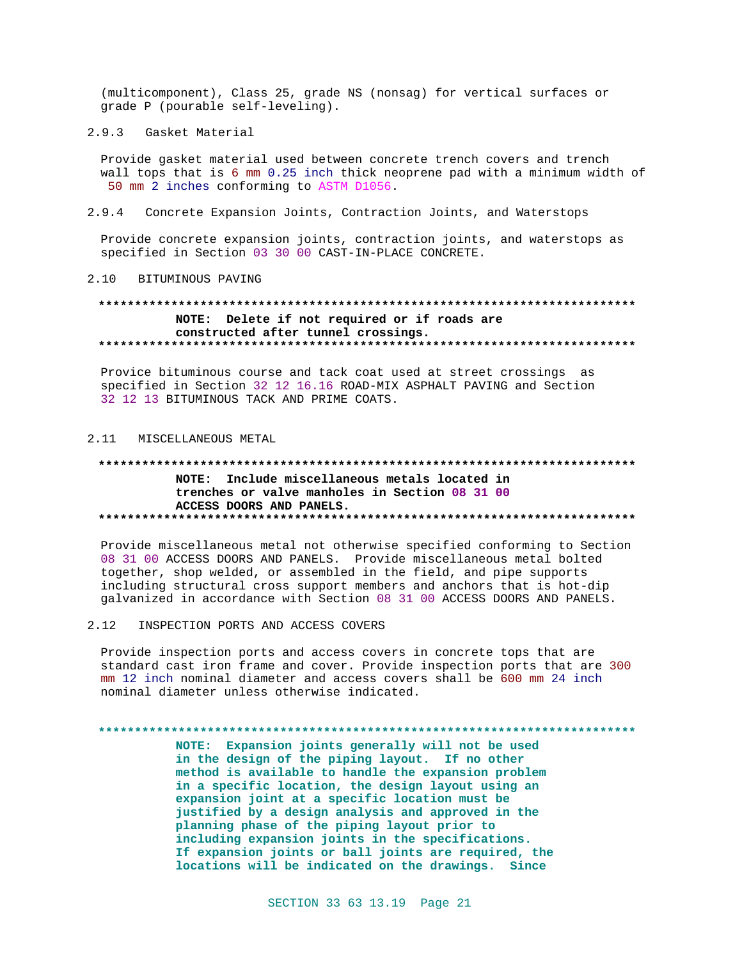(multicomponent), Class 25, grade NS (nonsag) for vertical surfaces or grade P (pourable self-leveling).

2.9.3 Gasket Material

Provide gasket material used between concrete trench covers and trench wall tops that is 6 mm 0.25 inch thick neoprene pad with a minimum width of 50 mm 2 inches conforming to ASTM D1056.

 $2.9.4$ Concrete Expansion Joints, Contraction Joints, and Waterstops

Provide concrete expansion joints, contraction joints, and waterstops as specified in Section 03 30 00 CAST-IN-PLACE CONCRETE.

2.10 BITUMINOUS PAVING

# NOTE: Delete if not required or if roads are constructed after tunnel crossings.

Provice bituminous course and tack coat used at street crossings as specified in Section 32 12 16.16 ROAD-MIX ASPHALT PAVING and Section 32 12 13 BITUMINOUS TACK AND PRIME COATS.

## 2.11 MISCELLANEOUS METAL

#### 

NOTE: Include miscellaneous metals located in trenches or valve manholes in Section 08 31 00 ACCESS DOORS AND PANELS. 

Provide miscellaneous metal not otherwise specified conforming to Section 08 31 00 ACCESS DOORS AND PANELS. Provide miscellaneous metal bolted together, shop welded, or assembled in the field, and pipe supports including structural cross support members and anchors that is hot-dip galvanized in accordance with Section 08 31 00 ACCESS DOORS AND PANELS.

#### $2.12$ INSPECTION PORTS AND ACCESS COVERS

Provide inspection ports and access covers in concrete tops that are standard cast iron frame and cover. Provide inspection ports that are 300 mm 12 inch nominal diameter and access covers shall be 600 mm 24 inch nominal diameter unless otherwise indicated.

#### 

NOTE: Expansion joints generally will not be used in the design of the piping layout. If no other method is available to handle the expansion problem in a specific location, the design layout using an expansion joint at a specific location must be justified by a design analysis and approved in the planning phase of the piping layout prior to including expansion joints in the specifications. If expansion joints or ball joints are required, the locations will be indicated on the drawings. Since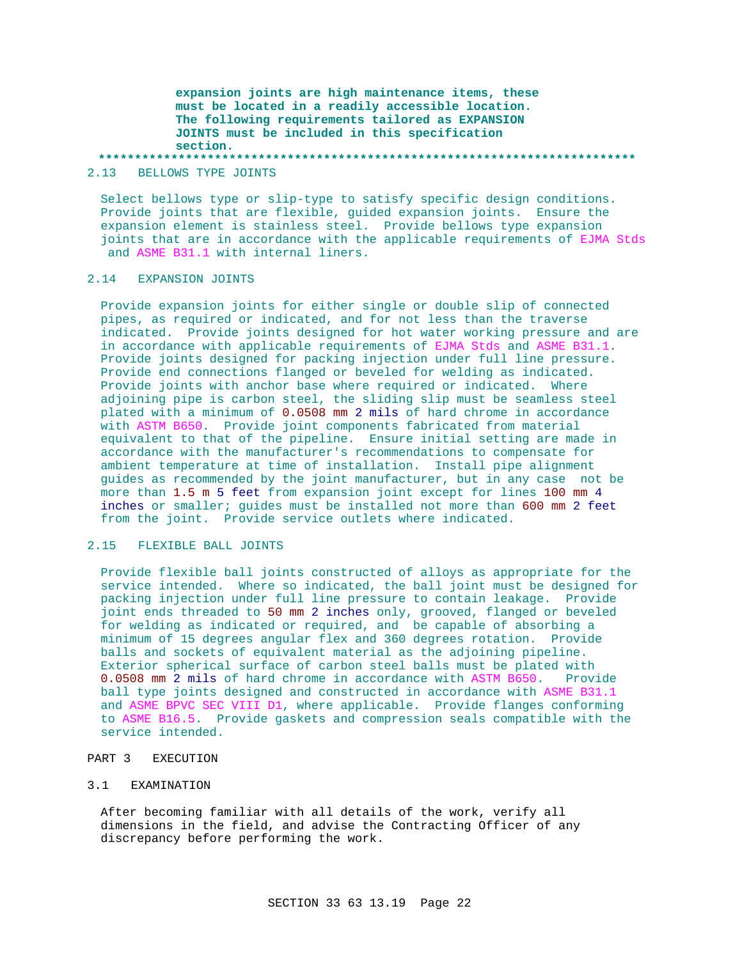**expansion joints are high maintenance items, these must be located in a readily accessible location. The following requirements tailored as EXPANSION JOINTS must be included in this specification section.**

**\*\*\*\*\*\*\*\*\*\*\*\*\*\*\*\*\*\*\*\*\*\*\*\*\*\*\*\*\*\*\*\*\*\*\*\*\*\*\*\*\*\*\*\*\*\*\*\*\*\*\*\*\*\*\*\*\*\*\*\*\*\*\*\*\*\*\*\*\*\*\*\*\*\***

2.13 BELLOWS TYPE JOINTS

Select bellows type or slip-type to satisfy specific design conditions. Provide joints that are flexible, guided expansion joints. Ensure the expansion element is stainless steel. Provide bellows type expansion joints that are in accordance with the applicable requirements of EJMA Stds and ASME B31.1 with internal liners.

# 2.14 EXPANSION JOINTS

Provide expansion joints for either single or double slip of connected pipes, as required or indicated, and for not less than the traverse indicated. Provide joints designed for hot water working pressure and are in accordance with applicable requirements of EJMA Stds and ASME B31.1. Provide joints designed for packing injection under full line pressure. Provide end connections flanged or beveled for welding as indicated. Provide joints with anchor base where required or indicated. Where adjoining pipe is carbon steel, the sliding slip must be seamless steel plated with a minimum of 0.0508 mm 2 mils of hard chrome in accordance with ASTM B650. Provide joint components fabricated from material equivalent to that of the pipeline. Ensure initial setting are made in accordance with the manufacturer's recommendations to compensate for ambient temperature at time of installation. Install pipe alignment guides as recommended by the joint manufacturer, but in any case not be more than 1.5 m 5 feet from expansion joint except for lines 100 mm 4 inches or smaller; guides must be installed not more than 600 mm 2 feet from the joint. Provide service outlets where indicated.

### 2.15 FLEXIBLE BALL JOINTS

Provide flexible ball joints constructed of alloys as appropriate for the service intended. Where so indicated, the ball joint must be designed for packing injection under full line pressure to contain leakage. Provide joint ends threaded to 50 mm 2 inches only, grooved, flanged or beveled for welding as indicated or required, and be capable of absorbing a minimum of 15 degrees angular flex and 360 degrees rotation. Provide balls and sockets of equivalent material as the adjoining pipeline. Exterior spherical surface of carbon steel balls must be plated with 0.0508 mm 2 mils of hard chrome in accordance with ASTM B650. Provide ball type joints designed and constructed in accordance with ASME B31.1 and ASME BPVC SEC VIII D1, where applicable. Provide flanges conforming to ASME B16.5. Provide gaskets and compression seals compatible with the service intended.

# PART 3 EXECUTION

### 3.1 EXAMINATION

After becoming familiar with all details of the work, verify all dimensions in the field, and advise the Contracting Officer of any discrepancy before performing the work.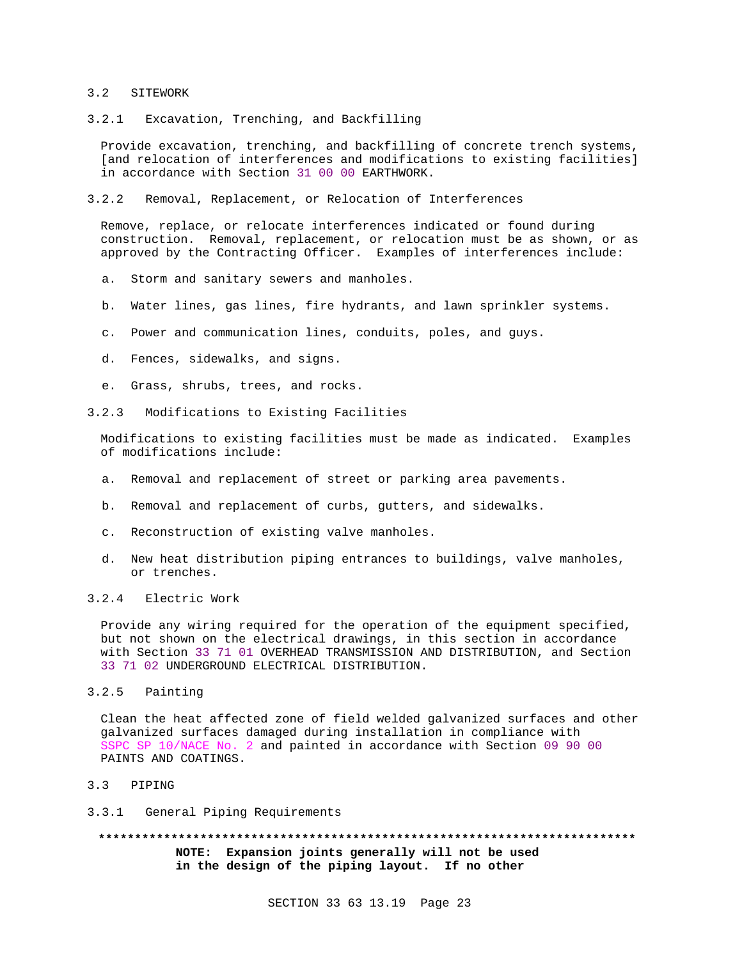#### 3.2 SITEWORK

### 3.2.1 Excavation, Trenching, and Backfilling

Provide excavation, trenching, and backfilling of concrete trench systems, [and relocation of interferences and modifications to existing facilities] in accordance with Section 31 00 00 EARTHWORK.

### 3.2.2 Removal, Replacement, or Relocation of Interferences

Remove, replace, or relocate interferences indicated or found during construction. Removal, replacement, or relocation must be as shown, or as approved by the Contracting Officer. Examples of interferences include:

- a. Storm and sanitary sewers and manholes.
- b. Water lines, gas lines, fire hydrants, and lawn sprinkler systems.
- c. Power and communication lines, conduits, poles, and guys.
- d. Fences, sidewalks, and signs.
- e. Grass, shrubs, trees, and rocks.
- 3.2.3 Modifications to Existing Facilities

Modifications to existing facilities must be made as indicated. Examples of modifications include:

- a. Removal and replacement of street or parking area pavements.
- b. Removal and replacement of curbs, gutters, and sidewalks.
- c. Reconstruction of existing valve manholes.
- d. New heat distribution piping entrances to buildings, valve manholes, or trenches.

# 3.2.4 Electric Work

Provide any wiring required for the operation of the equipment specified, but not shown on the electrical drawings, in this section in accordance with Section 33 71 01 OVERHEAD TRANSMISSION AND DISTRIBUTION, and Section 33 71 02 UNDERGROUND ELECTRICAL DISTRIBUTION.

### 3.2.5 Painting

Clean the heat affected zone of field welded galvanized surfaces and other galvanized surfaces damaged during installation in compliance with SSPC SP 10/NACE No. 2 and painted in accordance with Section 09 90 00 PAINTS AND COATINGS.

- 3.3 PIPING
- 3.3.1 General Piping Requirements

**\*\*\*\*\*\*\*\*\*\*\*\*\*\*\*\*\*\*\*\*\*\*\*\*\*\*\*\*\*\*\*\*\*\*\*\*\*\*\*\*\*\*\*\*\*\*\*\*\*\*\*\*\*\*\*\*\*\*\*\*\*\*\*\*\*\*\*\*\*\*\*\*\*\* NOTE: Expansion joints generally will not be used in the design of the piping layout. If no other**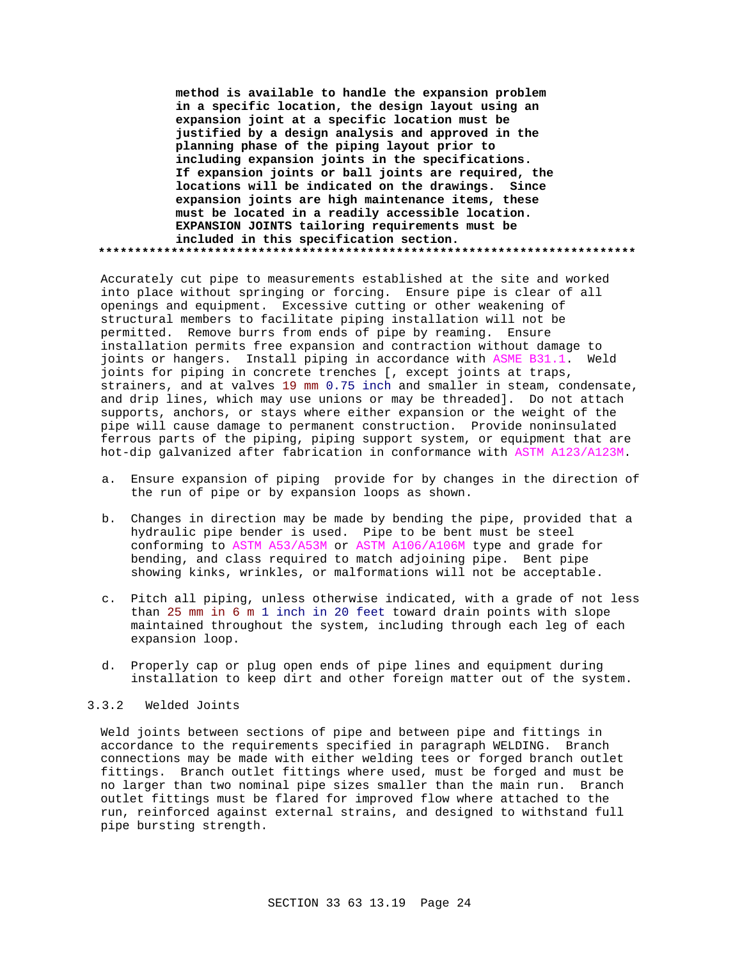**method is available to handle the expansion problem in a specific location, the design layout using an expansion joint at a specific location must be justified by a design analysis and approved in the planning phase of the piping layout prior to including expansion joints in the specifications. If expansion joints or ball joints are required, the locations will be indicated on the drawings. Since expansion joints are high maintenance items, these must be located in a readily accessible location. EXPANSION JOINTS tailoring requirements must be included in this specification section. \*\*\*\*\*\*\*\*\*\*\*\*\*\*\*\*\*\*\*\*\*\*\*\*\*\*\*\*\*\*\*\*\*\*\*\*\*\*\*\*\*\*\*\*\*\*\*\*\*\*\*\*\*\*\*\*\*\*\*\*\*\*\*\*\*\*\*\*\*\*\*\*\*\***

Accurately cut pipe to measurements established at the site and worked into place without springing or forcing. Ensure pipe is clear of all openings and equipment. Excessive cutting or other weakening of structural members to facilitate piping installation will not be permitted. Remove burrs from ends of pipe by reaming. Ensure installation permits free expansion and contraction without damage to joints or hangers. Install piping in accordance with ASME B31.1. Weld joints for piping in concrete trenches [, except joints at traps, strainers, and at valves 19 mm 0.75 inch and smaller in steam, condensate, and drip lines, which may use unions or may be threaded]. Do not attach supports, anchors, or stays where either expansion or the weight of the pipe will cause damage to permanent construction. Provide noninsulated ferrous parts of the piping, piping support system, or equipment that are hot-dip galvanized after fabrication in conformance with ASTM A123/A123M.

- a. Ensure expansion of piping provide for by changes in the direction of the run of pipe or by expansion loops as shown.
- b. Changes in direction may be made by bending the pipe, provided that a hydraulic pipe bender is used. Pipe to be bent must be steel conforming to ASTM A53/A53M or ASTM A106/A106M type and grade for bending, and class required to match adjoining pipe. Bent pipe showing kinks, wrinkles, or malformations will not be acceptable.
- c. Pitch all piping, unless otherwise indicated, with a grade of not less than 25 mm in 6 m 1 inch in 20 feet toward drain points with slope maintained throughout the system, including through each leg of each expansion loop.
- d. Properly cap or plug open ends of pipe lines and equipment during installation to keep dirt and other foreign matter out of the system.

## 3.3.2 Welded Joints

Weld joints between sections of pipe and between pipe and fittings in accordance to the requirements specified in paragraph WELDING. Branch connections may be made with either welding tees or forged branch outlet fittings. Branch outlet fittings where used, must be forged and must be no larger than two nominal pipe sizes smaller than the main run. Branch outlet fittings must be flared for improved flow where attached to the run, reinforced against external strains, and designed to withstand full pipe bursting strength.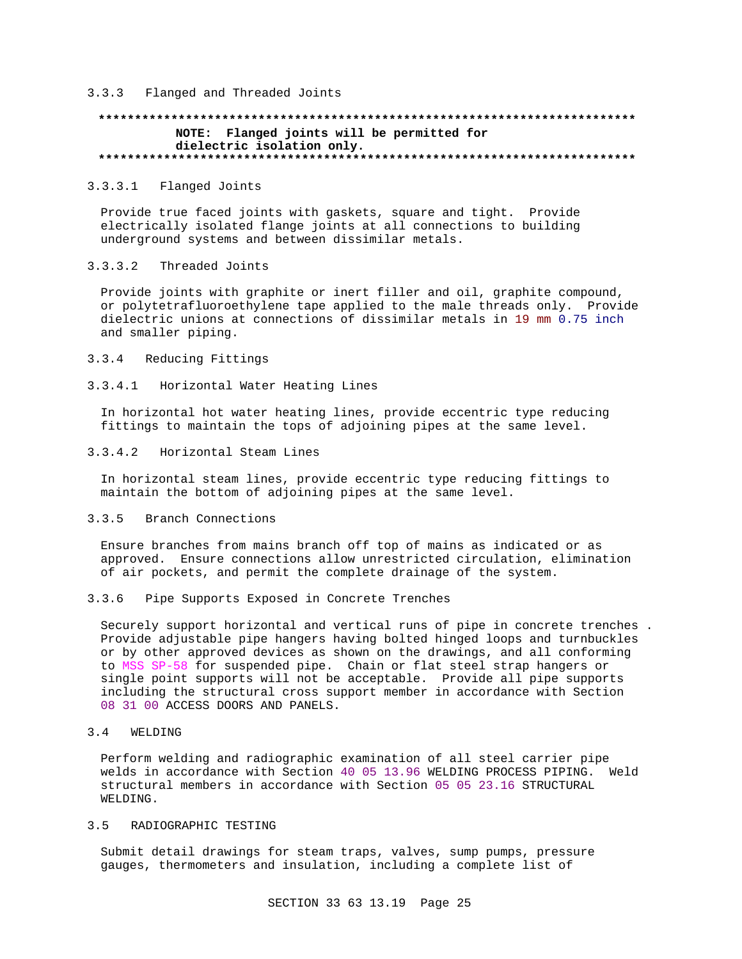## 3.3.3 Flanged and Threaded Joints

# **\*\*\*\*\*\*\*\*\*\*\*\*\*\*\*\*\*\*\*\*\*\*\*\*\*\*\*\*\*\*\*\*\*\*\*\*\*\*\*\*\*\*\*\*\*\*\*\*\*\*\*\*\*\*\*\*\*\*\*\*\*\*\*\*\*\*\*\*\*\*\*\*\*\* NOTE: Flanged joints will be permitted for dielectric isolation only. \*\*\*\*\*\*\*\*\*\*\*\*\*\*\*\*\*\*\*\*\*\*\*\*\*\*\*\*\*\*\*\*\*\*\*\*\*\*\*\*\*\*\*\*\*\*\*\*\*\*\*\*\*\*\*\*\*\*\*\*\*\*\*\*\*\*\*\*\*\*\*\*\*\***

### 3.3.3.1 Flanged Joints

Provide true faced joints with gaskets, square and tight. Provide electrically isolated flange joints at all connections to building underground systems and between dissimilar metals.

### 3.3.3.2 Threaded Joints

Provide joints with graphite or inert filler and oil, graphite compound, or polytetrafluoroethylene tape applied to the male threads only. Provide dielectric unions at connections of dissimilar metals in 19 mm 0.75 inch and smaller piping.

#### 3.3.4 Reducing Fittings

3.3.4.1 Horizontal Water Heating Lines

In horizontal hot water heating lines, provide eccentric type reducing fittings to maintain the tops of adjoining pipes at the same level.

### 3.3.4.2 Horizontal Steam Lines

In horizontal steam lines, provide eccentric type reducing fittings to maintain the bottom of adjoining pipes at the same level.

# 3.3.5 Branch Connections

Ensure branches from mains branch off top of mains as indicated or as approved. Ensure connections allow unrestricted circulation, elimination of air pockets, and permit the complete drainage of the system.

## 3.3.6 Pipe Supports Exposed in Concrete Trenches

Securely support horizontal and vertical runs of pipe in concrete trenches . Provide adjustable pipe hangers having bolted hinged loops and turnbuckles or by other approved devices as shown on the drawings, and all conforming to MSS SP-58 for suspended pipe. Chain or flat steel strap hangers or single point supports will not be acceptable. Provide all pipe supports including the structural cross support member in accordance with Section 08 31 00 ACCESS DOORS AND PANELS.

## 3.4 WELDING

Perform welding and radiographic examination of all steel carrier pipe welds in accordance with Section 40 05 13.96 WELDING PROCESS PIPING. Weld structural members in accordance with Section 05 05 23.16 STRUCTURAL WELDING.

## 3.5 RADIOGRAPHIC TESTING

Submit detail drawings for steam traps, valves, sump pumps, pressure gauges, thermometers and insulation, including a complete list of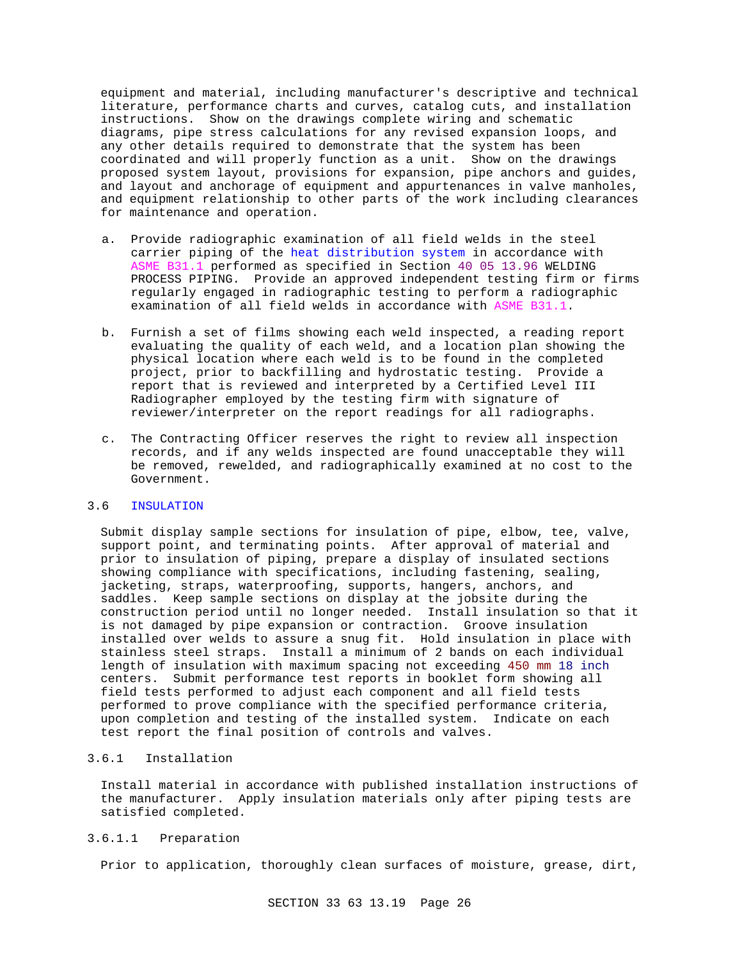equipment and material, including manufacturer's descriptive and technical literature, performance charts and curves, catalog cuts, and installation instructions. Show on the drawings complete wiring and schematic diagrams, pipe stress calculations for any revised expansion loops, and any other details required to demonstrate that the system has been coordinated and will properly function as a unit. Show on the drawings proposed system layout, provisions for expansion, pipe anchors and guides, and layout and anchorage of equipment and appurtenances in valve manholes, and equipment relationship to other parts of the work including clearances for maintenance and operation.

- a. Provide radiographic examination of all field welds in the steel carrier piping of the heat distribution system in accordance with ASME B31.1 performed as specified in Section 40 05 13.96 WELDING PROCESS PIPING. Provide an approved independent testing firm or firms regularly engaged in radiographic testing to perform a radiographic examination of all field welds in accordance with ASME B31.1.
- b. Furnish a set of films showing each weld inspected, a reading report evaluating the quality of each weld, and a location plan showing the physical location where each weld is to be found in the completed project, prior to backfilling and hydrostatic testing. Provide a report that is reviewed and interpreted by a Certified Level III Radiographer employed by the testing firm with signature of reviewer/interpreter on the report readings for all radiographs.
- c. The Contracting Officer reserves the right to review all inspection records, and if any welds inspected are found unacceptable they will be removed, rewelded, and radiographically examined at no cost to the Government.

### 3.6 INSULATION

Submit display sample sections for insulation of pipe, elbow, tee, valve, support point, and terminating points. After approval of material and prior to insulation of piping, prepare a display of insulated sections showing compliance with specifications, including fastening, sealing, jacketing, straps, waterproofing, supports, hangers, anchors, and saddles. Keep sample sections on display at the jobsite during the construction period until no longer needed. Install insulation so that it is not damaged by pipe expansion or contraction. Groove insulation installed over welds to assure a snug fit. Hold insulation in place with stainless steel straps. Install a minimum of 2 bands on each individual length of insulation with maximum spacing not exceeding 450 mm 18 inch centers. Submit performance test reports in booklet form showing all field tests performed to adjust each component and all field tests performed to prove compliance with the specified performance criteria, upon completion and testing of the installed system. Indicate on each test report the final position of controls and valves.

# 3.6.1 Installation

Install material in accordance with published installation instructions of the manufacturer. Apply insulation materials only after piping tests are satisfied completed.

### 3.6.1.1 Preparation

Prior to application, thoroughly clean surfaces of moisture, grease, dirt,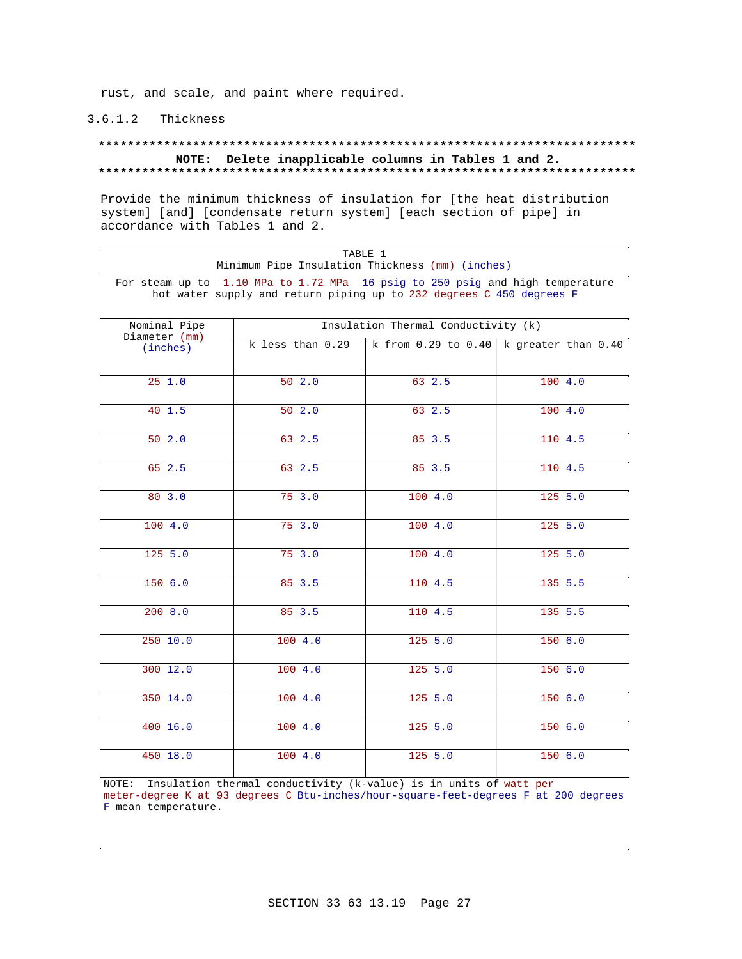rust, and scale, and paint where required.

# 3.6.1.2 Thickness

## **\*\*\*\*\*\*\*\*\*\*\*\*\*\*\*\*\*\*\*\*\*\*\*\*\*\*\*\*\*\*\*\*\*\*\*\*\*\*\*\*\*\*\*\*\*\*\*\*\*\*\*\*\*\*\*\*\*\*\*\*\*\*\*\*\*\*\*\*\*\*\*\*\*\* NOTE: Delete inapplicable columns in Tables 1 and 2. \*\*\*\*\*\*\*\*\*\*\*\*\*\*\*\*\*\*\*\*\*\*\*\*\*\*\*\*\*\*\*\*\*\*\*\*\*\*\*\*\*\*\*\*\*\*\*\*\*\*\*\*\*\*\*\*\*\*\*\*\*\*\*\*\*\*\*\*\*\*\*\*\*\***

Provide the minimum thickness of insulation for [the heat distribution system] [and] [condensate return system] [each section of pipe] in accordance with Tables 1 and 2.

| TABLE 1<br>Minimum Pipe Insulation Thickness (mm) (inches)                                                                                            |                  |                                     |                                               |
|-------------------------------------------------------------------------------------------------------------------------------------------------------|------------------|-------------------------------------|-----------------------------------------------|
| For steam up to 1.10 MPa to 1.72 MPa 16 psig to 250 psig and high temperature<br>hot water supply and return piping up to 232 degrees C 450 degrees F |                  |                                     |                                               |
| Nominal Pipe<br>Diameter (mm)                                                                                                                         |                  | Insulation Thermal Conductivity (k) |                                               |
| (inches)                                                                                                                                              | k less than 0.29 |                                     | k from $0.29$ to $0.40$ k greater than $0.40$ |
| 251.0                                                                                                                                                 | 50 2.0           | 63 2.5                              | 100 4.0                                       |
| 40 1.5                                                                                                                                                | 502.0            | 63 2.5                              | 1004.0                                        |
| 502.0                                                                                                                                                 | 63 2.5           | 85 3.5                              | 110 4.5                                       |
| 65 2.5                                                                                                                                                | 63 2.5           | 85 3.5                              | 110 4.5                                       |
| 80 3.0                                                                                                                                                | 753.0            | 1004.0                              | 125, 5.0                                      |
| 100 4.0                                                                                                                                               | 75 3.0           | 100 4.0                             | 125, 5.0                                      |
| 125 5.0                                                                                                                                               | 75 3.0           | 100 4.0                             | 125 5.0                                       |
| 150 6.0                                                                                                                                               | 85 3.5           | 110 4.5                             | 135 5.5                                       |
| 2008.0                                                                                                                                                | 85 3.5           | 110 4.5                             | 135 5.5                                       |
| 250 10.0                                                                                                                                              | 100 4.0          | 125 5.0                             | 150 6.0                                       |
| 300 12.0                                                                                                                                              | 100 4.0          | 125, 5.0                            | 1506.0                                        |
| 350 14.0                                                                                                                                              | 100 4.0          | 125, 5.0                            | 1506.0                                        |
| 400, 16.0                                                                                                                                             | 1004.0           | 125, 5.0                            | 150 6.0                                       |
| 450 18.0                                                                                                                                              | 100 4.0          | 125 5.0                             | 150 6.0                                       |

NOTE: Insulation thermal conductivity (k-value) is in units of watt per meter-degree K at 93 degrees C Btu-inches/hour-square-feet-degrees F at 200 degrees F mean temperature.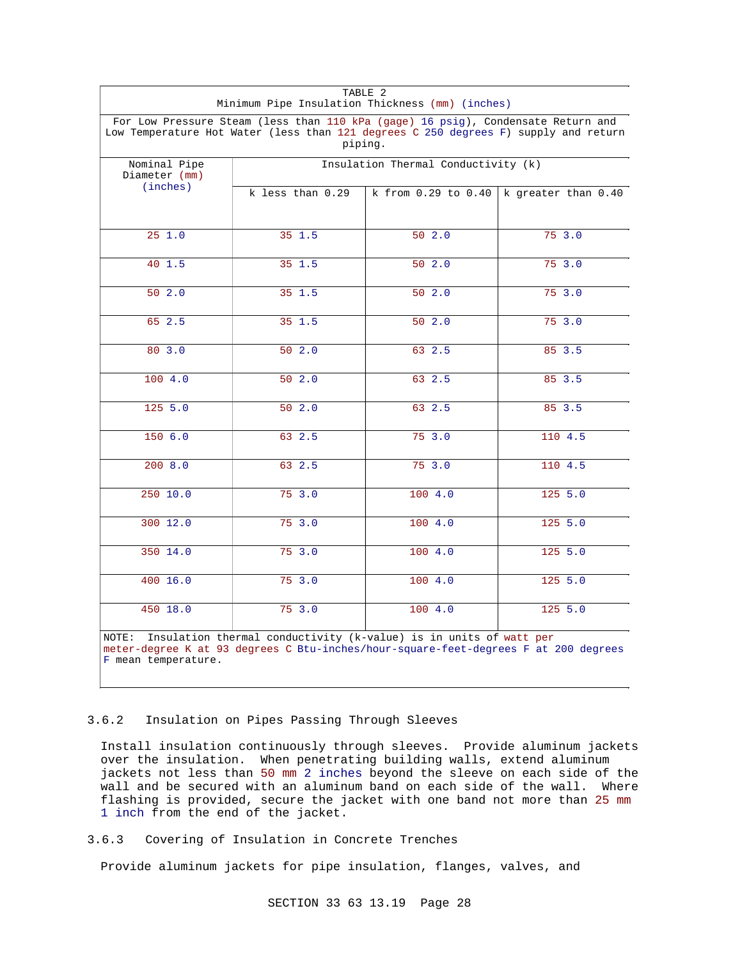| TABLE 2<br>Minimum Pipe Insulation Thickness (mm) (inches)                                                                                                                               |                                     |         |                                               |
|------------------------------------------------------------------------------------------------------------------------------------------------------------------------------------------|-------------------------------------|---------|-----------------------------------------------|
| For Low Pressure Steam (less than 110 kPa (gage) 16 psig), Condensate Return and<br>Low Temperature Hot Water (less than 121 degrees C 250 degrees F) supply and return<br>piping.       |                                     |         |                                               |
| Nominal Pipe<br>Diameter (mm)                                                                                                                                                            | Insulation Thermal Conductivity (k) |         |                                               |
| (inches)                                                                                                                                                                                 | k less than 0.29                    |         | k from $0.29$ to $0.40$ k greater than $0.40$ |
| 251.0                                                                                                                                                                                    | 35 1.5                              | 502.0   | 75, 3.0                                       |
| 40 1.5                                                                                                                                                                                   | 35 1.5                              | 502.0   | 75, 3.0                                       |
| 50 2.0                                                                                                                                                                                   | 35 1.5                              | 50 2.0  | 75 3.0                                        |
| 65 2.5                                                                                                                                                                                   | $35 \t1.5$                          | 50 2.0  | 753.0                                         |
| 80 3.0                                                                                                                                                                                   | 50 2.0                              | 63 2.5  | 85 3.5                                        |
| 1004.0                                                                                                                                                                                   | 502.0                               | 63 2.5  | 85 3.5                                        |
| 125 5.0                                                                                                                                                                                  | 502.0                               | 63 2.5  | 85 3.5                                        |
| 150 6.0                                                                                                                                                                                  | 63 2.5                              | 75, 3.0 | 1104.5                                        |
| 2008.0                                                                                                                                                                                   | 63 2.5                              | 753.0   | 110 4.5                                       |
| 250 10.0                                                                                                                                                                                 | 753.0                               | 1004.0  | 125 5.0                                       |
| 300 12.0                                                                                                                                                                                 | 75 3.0                              | 1004.0  | 125 5.0                                       |
| 350 14.0                                                                                                                                                                                 | 753.0                               | 100 4.0 | 125 5.0                                       |
| 400 16.0                                                                                                                                                                                 | 75, 3.0                             | 1004.0  | 125, 5.0                                      |
| 450 18.0                                                                                                                                                                                 | 75 3.0                              | 100 4.0 | $\overline{125}$ 5.0                          |
| Insulation thermal conductivity (k-value) is in units of watt per<br>NOTE:<br>meter-degree K at 93 degrees C Btu-inches/hour-square-feet-degrees F at 200 degrees<br>F mean temperature. |                                     |         |                                               |

# 3.6.2 Insulation on Pipes Passing Through Sleeves

Install insulation continuously through sleeves. Provide aluminum jackets over the insulation. When penetrating building walls, extend aluminum jackets not less than 50 mm 2 inches beyond the sleeve on each side of the wall and be secured with an aluminum band on each side of the wall. Where flashing is provided, secure the jacket with one band not more than 25 mm 1 inch from the end of the jacket.

# 3.6.3 Covering of Insulation in Concrete Trenches

Provide aluminum jackets for pipe insulation, flanges, valves, and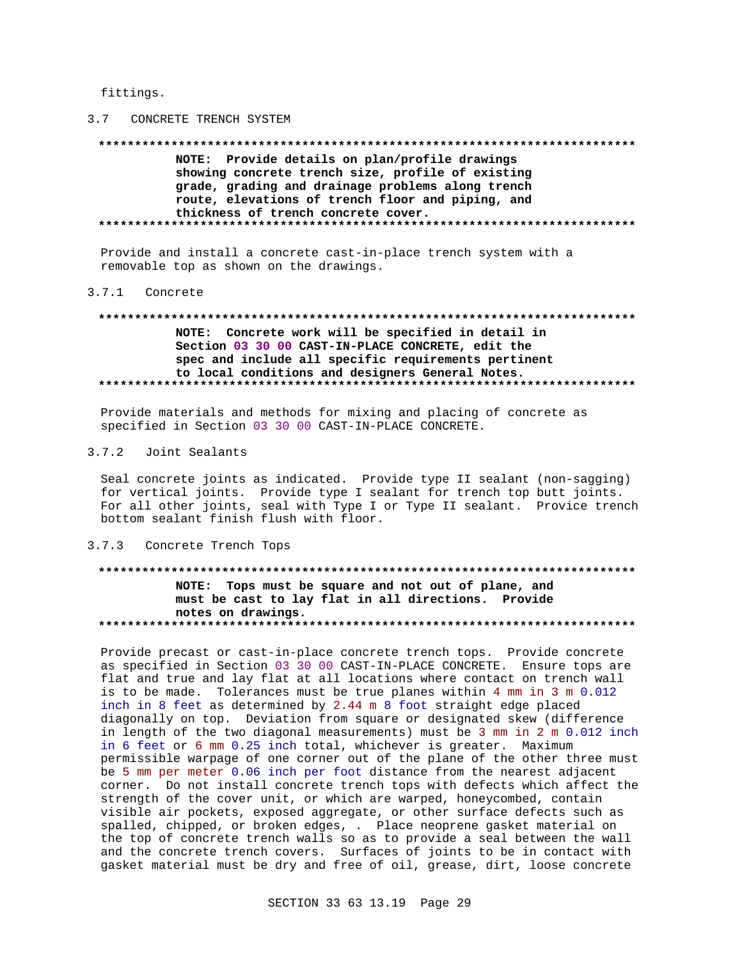fittings.

## 3.7 CONCRETE TRENCH SYSTEM

NOTE: Provide details on plan/profile drawings showing concrete trench size, profile of existing grade, grading and drainage problems along trench route, elevations of trench floor and piping, and thickness of trench concrete cover. 

Provide and install a concrete cast-in-place trench system with a removable top as shown on the drawings.

# 3.7.1 Concrete

# NOTE: Concrete work will be specified in detail in Section 03 30 00 CAST-IN-PLACE CONCRETE, edit the spec and include all specific requirements pertinent to local conditions and designers General Notes.

Provide materials and methods for mixing and placing of concrete as specified in Section 03 30 00 CAST-IN-PLACE CONCRETE.

#### $3.7.2$ Joint Sealants

Seal concrete joints as indicated. Provide type II sealant (non-sagging) for vertical joints. Provide type I sealant for trench top butt joints. For all other joints, seal with Type I or Type II sealant. Provice trench bottom sealant finish flush with floor.

#### 3.7.3 Concrete Trench Tops

# NOTE: Tops must be square and not out of plane, and must be cast to lay flat in all directions. Provide notes on drawings.

Provide precast or cast-in-place concrete trench tops. Provide concrete as specified in Section 03 30 00 CAST-IN-PLACE CONCRETE. Ensure tops are flat and true and lay flat at all locations where contact on trench wall is to be made. Tolerances must be true planes within 4 mm in 3 m 0.012 inch in 8 feet as determined by 2.44 m 8 foot straight edge placed diagonally on top. Deviation from square or designated skew (difference in length of the two diagonal measurements) must be 3 mm in 2 m 0.012 inch in 6 feet or 6 mm 0.25 inch total, whichever is greater. Maximum permissible warpage of one corner out of the plane of the other three must be 5 mm per meter 0.06 inch per foot distance from the nearest adjacent corner. Do not install concrete trench tops with defects which affect the strength of the cover unit, or which are warped, honeycombed, contain visible air pockets, exposed aggregate, or other surface defects such as spalled, chipped, or broken edges, . Place neoprene gasket material on the top of concrete trench walls so as to provide a seal between the wall and the concrete trench covers. Surfaces of joints to be in contact with gasket material must be dry and free of oil, grease, dirt, loose concrete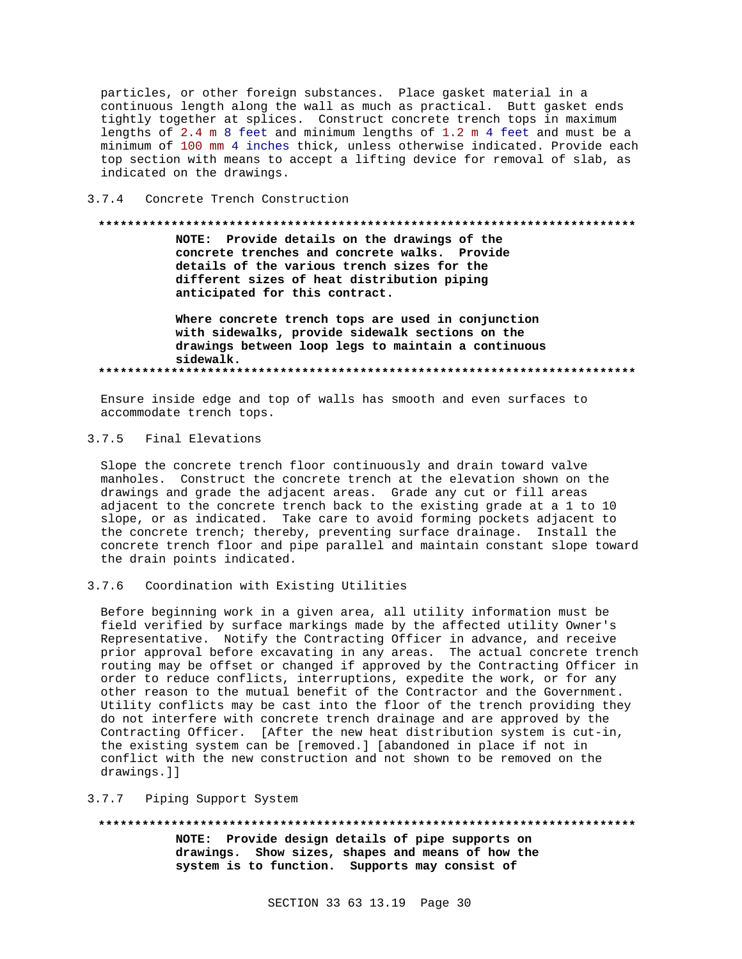particles, or other foreign substances. Place gasket material in a continuous length along the wall as much as practical. Butt gasket ends tightly together at splices. Construct concrete trench tops in maximum lengths of 2.4 m 8 feet and minimum lengths of 1.2 m 4 feet and must be a minimum of 100 mm 4 inches thick, unless otherwise indicated. Provide each top section with means to accept a lifting device for removal of slab, as indicated on the drawings.

#### $3.7.4$ Concrete Trench Construction

# NOTE: Provide details on the drawings of the concrete trenches and concrete walks. Provide details of the various trench sizes for the different sizes of heat distribution piping anticipated for this contract. Where concrete trench tops are used in conjunction with sidewalks, provide sidewalk sections on the drawings between loop legs to maintain a continuous sidewalk.

Ensure inside edge and top of walls has smooth and even surfaces to accommodate trench tops.

#### $3.7.5$ Final Elevations

Slope the concrete trench floor continuously and drain toward valve manholes. Construct the concrete trench at the elevation shown on the drawings and grade the adjacent areas. Grade any cut or fill areas adjacent to the concrete trench back to the existing grade at a 1 to 10 slope, or as indicated. Take care to avoid forming pockets adjacent to the concrete trench; thereby, preventing surface drainage. Install the concrete trench floor and pipe parallel and maintain constant slope toward the drain points indicated.

#### $3.7.6$ Coordination with Existing Utilities

Before beginning work in a given area, all utility information must be field verified by surface markings made by the affected utility Owner's Representative. Notify the Contracting Officer in advance, and receive prior approval before excavating in any areas. The actual concrete trench routing may be offset or changed if approved by the Contracting Officer in order to reduce conflicts, interruptions, expedite the work, or for any other reason to the mutual benefit of the Contractor and the Government. Utility conflicts may be cast into the floor of the trench providing they do not interfere with concrete trench drainage and are approved by the Contracting Officer. [After the new heat distribution system is cut-in, the existing system can be [removed.] [abandoned in place if not in conflict with the new construction and not shown to be removed on the drawings.]]

#### Piping Support System  $3.7.7$

# 

NOTE: Provide design details of pipe supports on drawings. Show sizes, shapes and means of how the system is to function. Supports may consist of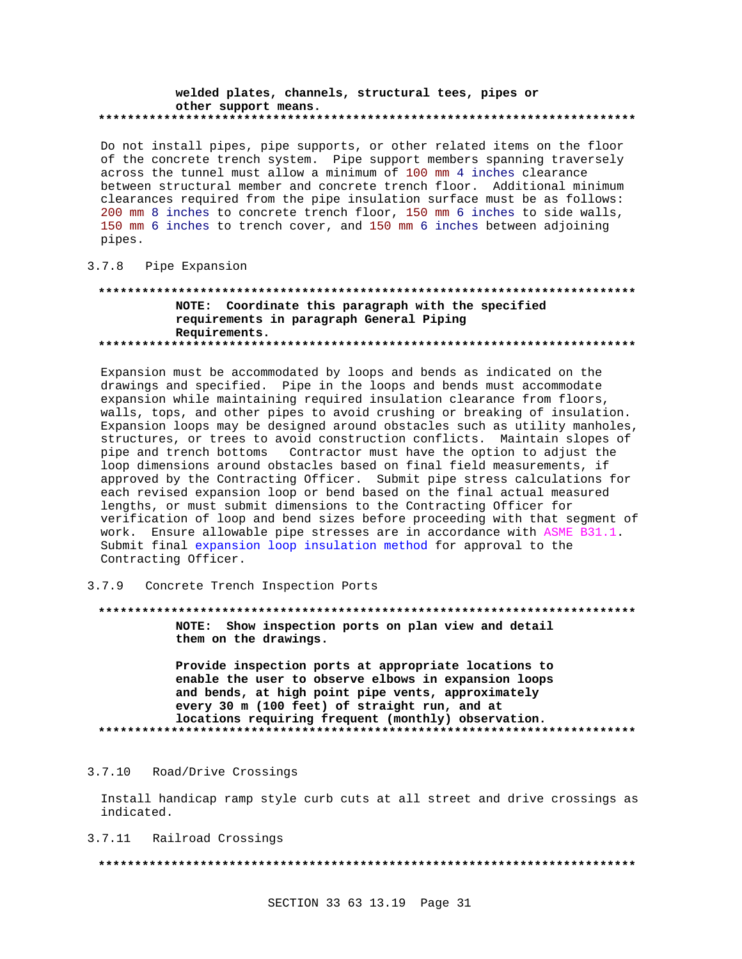#### welded plates, channels, structural tees, pipes or other support means.

Do not install pipes, pipe supports, or other related items on the floor of the concrete trench system. Pipe support members spanning traversely across the tunnel must allow a minimum of 100 mm 4 inches clearance between structural member and concrete trench floor. Additional minimum clearances required from the pipe insulation surface must be as follows: 200 mm 8 inches to concrete trench floor, 150 mm 6 inches to side walls, 150 mm 6 inches to trench cover, and 150 mm 6 inches between adjoining pipes.

### 3.7.8 Pipe Expansion

## NOTE: Coordinate this paragraph with the specified requirements in paragraph General Piping Requirements.

Expansion must be accommodated by loops and bends as indicated on the drawings and specified. Pipe in the loops and bends must accommodate expansion while maintaining required insulation clearance from floors, walls, tops, and other pipes to avoid crushing or breaking of insulation. Expansion loops may be designed around obstacles such as utility manholes, structures, or trees to avoid construction conflicts. Maintain slopes of pipe and trench bottoms Contractor must have the option to adjust the loop dimensions around obstacles based on final field measurements, if approved by the Contracting Officer. Submit pipe stress calculations for each revised expansion loop or bend based on the final actual measured lengths, or must submit dimensions to the Contracting Officer for verification of loop and bend sizes before proceeding with that segment of work. Ensure allowable pipe stresses are in accordance with ASME B31.1. Submit final expansion loop insulation method for approval to the Contracting Officer.

 $3.7.9$ Concrete Trench Inspection Ports

NOTE: Show inspection ports on plan view and detail

them on the drawings.

Provide inspection ports at appropriate locations to enable the user to observe elbows in expansion loops and bends, at high point pipe vents, approximately every 30 m (100 feet) of straight run, and at locations requiring frequent (monthly) observation. 

#### $3.7.10$ Road/Drive Crossings

Install handicap ramp style curb cuts at all street and drive crossings as indicated.

3.7.11 Railroad Crossings

###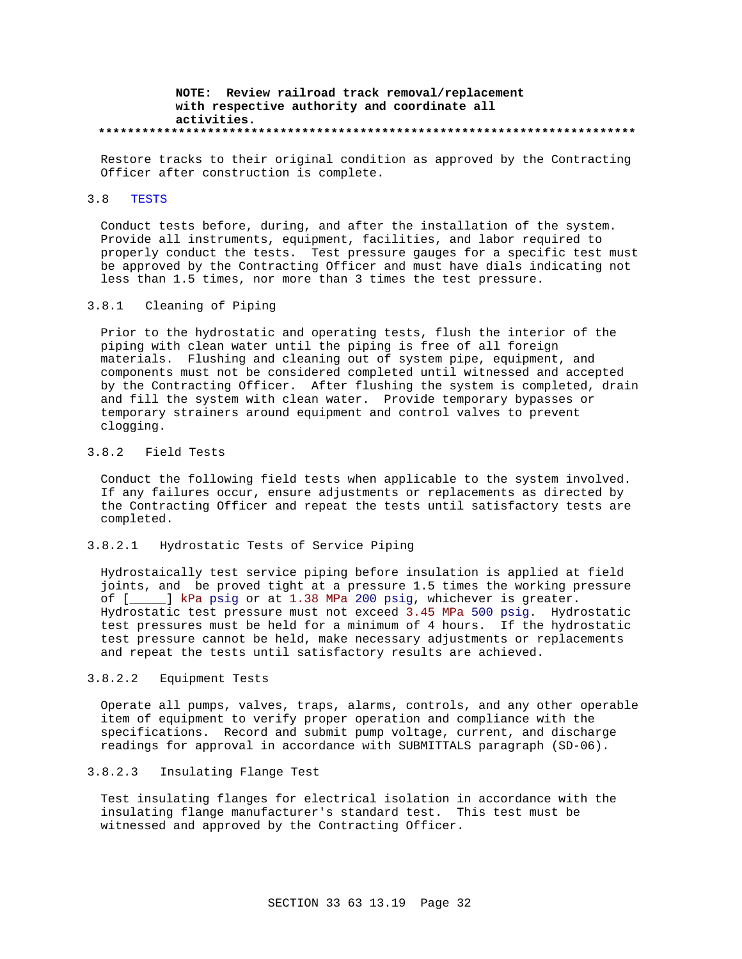### **NOTE: Review railroad track removal/replacement with respective authority and coordinate all activities. \*\*\*\*\*\*\*\*\*\*\*\*\*\*\*\*\*\*\*\*\*\*\*\*\*\*\*\*\*\*\*\*\*\*\*\*\*\*\*\*\*\*\*\*\*\*\*\*\*\*\*\*\*\*\*\*\*\*\*\*\*\*\*\*\*\*\*\*\*\*\*\*\*\***

Restore tracks to their original condition as approved by the Contracting Officer after construction is complete.

# 3.8 TESTS

Conduct tests before, during, and after the installation of the system. Provide all instruments, equipment, facilities, and labor required to properly conduct the tests. Test pressure gauges for a specific test must be approved by the Contracting Officer and must have dials indicating not less than 1.5 times, nor more than 3 times the test pressure.

#### 3.8.1 Cleaning of Piping

Prior to the hydrostatic and operating tests, flush the interior of the piping with clean water until the piping is free of all foreign materials. Flushing and cleaning out of system pipe, equipment, and components must not be considered completed until witnessed and accepted by the Contracting Officer. After flushing the system is completed, drain and fill the system with clean water. Provide temporary bypasses or temporary strainers around equipment and control valves to prevent clogging.

# 3.8.2 Field Tests

Conduct the following field tests when applicable to the system involved. If any failures occur, ensure adjustments or replacements as directed by the Contracting Officer and repeat the tests until satisfactory tests are completed.

#### 3.8.2.1 Hydrostatic Tests of Service Piping

Hydrostaically test service piping before insulation is applied at field joints, and be proved tight at a pressure 1.5 times the working pressure of [\_\_\_\_\_] kPa psig or at 1.38 MPa 200 psig, whichever is greater. Hydrostatic test pressure must not exceed 3.45 MPa 500 psig. Hydrostatic test pressures must be held for a minimum of 4 hours. If the hydrostatic test pressure cannot be held, make necessary adjustments or replacements and repeat the tests until satisfactory results are achieved.

### 3.8.2.2 Equipment Tests

Operate all pumps, valves, traps, alarms, controls, and any other operable item of equipment to verify proper operation and compliance with the specifications. Record and submit pump voltage, current, and discharge readings for approval in accordance with SUBMITTALS paragraph (SD-06).

# 3.8.2.3 Insulating Flange Test

Test insulating flanges for electrical isolation in accordance with the insulating flange manufacturer's standard test. This test must be witnessed and approved by the Contracting Officer.